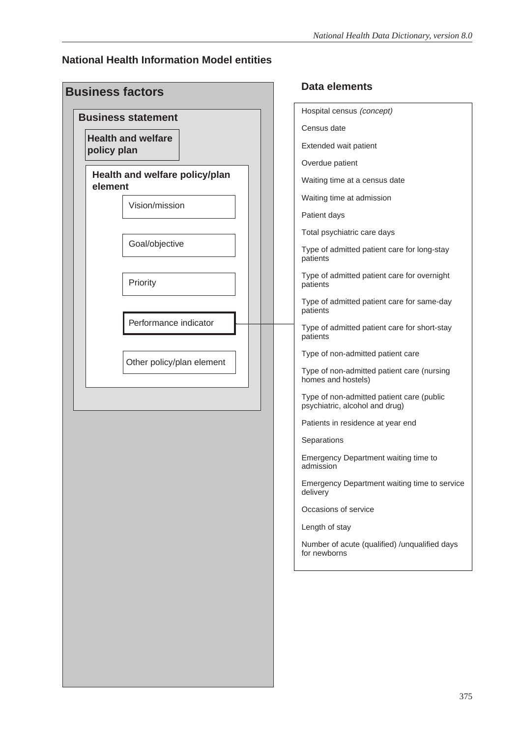#### **National Health Information Model entities**

| <b>Business factors</b>                   | Data elements                                  |
|-------------------------------------------|------------------------------------------------|
| <b>Business statement</b>                 | Hospital census (con                           |
|                                           | Census date                                    |
| <b>Health and welfare</b><br>policy plan  | Extended wait patien                           |
|                                           | Overdue patient                                |
| Health and welfare policy/plan<br>element | Waiting time at a cen                          |
| Vision/mission                            | Waiting time at admis                          |
|                                           | Patient days                                   |
|                                           | Total psychiatric care                         |
| Goal/objective                            | Type of admitted pati<br>patients              |
| Priority                                  | Type of admitted pati<br>patients              |
|                                           | Type of admitted pati<br>patients              |
| Performance indicator                     | Type of admitted pati<br>patients              |
| Other policy/plan element                 | Type of non-admitted                           |
|                                           | Type of non-admitted<br>homes and hostels)     |
|                                           | Type of non-admitted<br>psychiatric, alcohol a |
|                                           | Patients in residence                          |
|                                           | Separations                                    |
|                                           | Emergency Departme<br>admission                |
|                                           | Emergency Departme<br>delivery                 |
|                                           | Occasions of service                           |
|                                           |                                                |
|                                           | Length of stay                                 |

| Hospital census (concept)                                                   |
|-----------------------------------------------------------------------------|
| Census date                                                                 |
| Extended wait patient                                                       |
| Overdue patient                                                             |
| Waiting time at a census date                                               |
| Waiting time at admission                                                   |
| Patient days                                                                |
| Total psychiatric care days                                                 |
| Type of admitted patient care for long-stay<br>patients                     |
| Type of admitted patient care for overnight<br>patients                     |
| Type of admitted patient care for same-day<br>patients                      |
| Type of admitted patient care for short-stay<br>patients                    |
| Type of non-admitted patient care                                           |
| Type of non-admitted patient care (nursing<br>homes and hostels)            |
| Type of non-admitted patient care (public<br>psychiatric, alcohol and drug) |
| Patients in residence at year end                                           |
| Separations                                                                 |
| Emergency Department waiting time to<br>admission                           |
| Emergency Department waiting time to service<br>delivery                    |
| Occasions of service                                                        |
| Length of stay                                                              |
| Number of acute (qualified) /unqualified days<br>for newborns               |
|                                                                             |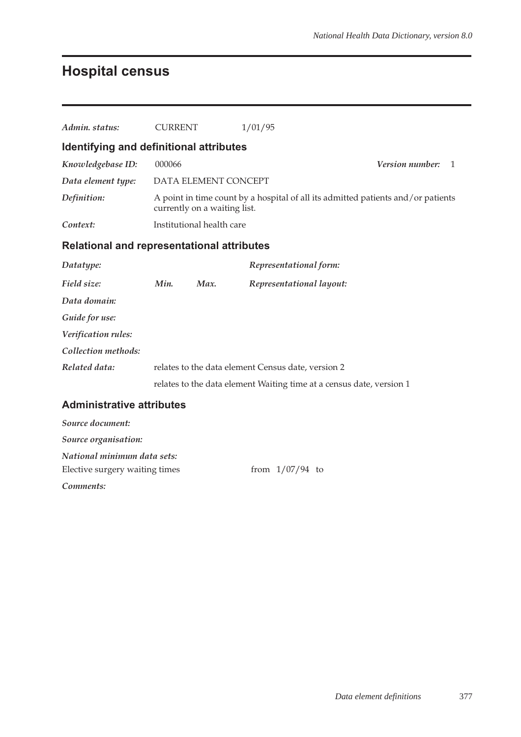# **Hospital census**

| Admin. status:                                    | <b>CURRENT</b> |                              | 1/01/95                                                                          |                                 |
|---------------------------------------------------|----------------|------------------------------|----------------------------------------------------------------------------------|---------------------------------|
| Identifying and definitional attributes           |                |                              |                                                                                  |                                 |
| Knowledgebase ID:                                 | 000066         |                              |                                                                                  | Version number:<br>$\mathbf{1}$ |
| Data element type:                                |                | DATA ELEMENT CONCEPT         |                                                                                  |                                 |
| Definition:                                       |                | currently on a waiting list. | A point in time count by a hospital of all its admitted patients and/or patients |                                 |
| Context:                                          |                | Institutional health care    |                                                                                  |                                 |
| <b>Relational and representational attributes</b> |                |                              |                                                                                  |                                 |
| Datatype:                                         |                |                              | Representational form:                                                           |                                 |
| Field size:                                       | Min.           | Max.                         | Representational layout:                                                         |                                 |
| Data domain:                                      |                |                              |                                                                                  |                                 |
| Guide for use:                                    |                |                              |                                                                                  |                                 |
| Verification rules:                               |                |                              |                                                                                  |                                 |
| Collection methods:                               |                |                              |                                                                                  |                                 |
| Related data:                                     |                |                              | relates to the data element Census date, version 2                               |                                 |
|                                                   |                |                              | relates to the data element Waiting time at a census date, version 1             |                                 |
| <b>Administrative attributes</b>                  |                |                              |                                                                                  |                                 |
| Source document:                                  |                |                              |                                                                                  |                                 |
| Source organisation:                              |                |                              |                                                                                  |                                 |
| National minimum data sets:                       |                |                              |                                                                                  |                                 |
| Elective surgery waiting times                    |                |                              | from $1/07/94$ to                                                                |                                 |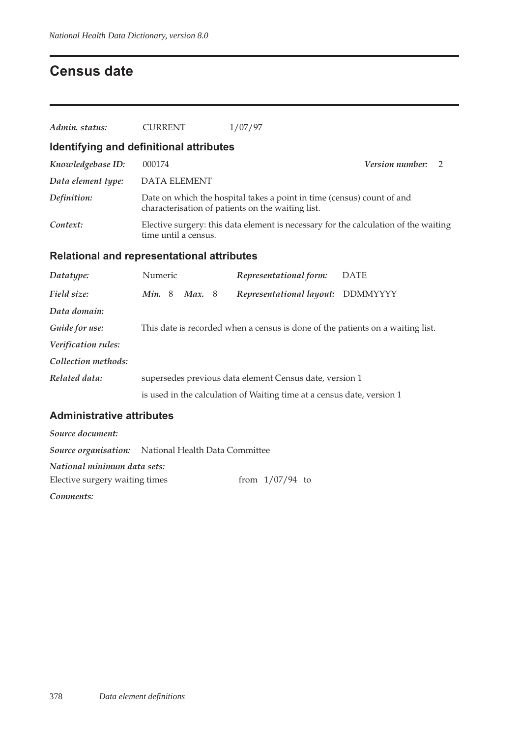## **Census date**

| Admin. status:                                    | <b>CURRENT</b>       | 1/07/97                                                                                                                     |                                                                                     |
|---------------------------------------------------|----------------------|-----------------------------------------------------------------------------------------------------------------------------|-------------------------------------------------------------------------------------|
| Identifying and definitional attributes           |                      |                                                                                                                             |                                                                                     |
| Knowledgebase ID:                                 | 000174               |                                                                                                                             | Version number:<br>$\overline{2}$                                                   |
| Data element type:                                | <b>DATA ELEMENT</b>  |                                                                                                                             |                                                                                     |
| Definition:                                       |                      | Date on which the hospital takes a point in time (census) count of and<br>characterisation of patients on the waiting list. |                                                                                     |
| Context:                                          | time until a census. |                                                                                                                             | Elective surgery: this data element is necessary for the calculation of the waiting |
| <b>Relational and representational attributes</b> |                      |                                                                                                                             |                                                                                     |
| Datatype:                                         | Numeric              | Representational form:                                                                                                      | <b>DATE</b>                                                                         |
| Field size:                                       | Min. 8<br>Max.8      | Representational layout:                                                                                                    | DDMMYYYY                                                                            |
| Data domain:                                      |                      |                                                                                                                             |                                                                                     |
| Guide for use:                                    |                      | This date is recorded when a census is done of the patients on a waiting list.                                              |                                                                                     |
| Verification rules:                               |                      |                                                                                                                             |                                                                                     |
| Collection methods:                               |                      |                                                                                                                             |                                                                                     |
| Related data:                                     |                      | supersedes previous data element Census date, version 1                                                                     |                                                                                     |
|                                                   |                      | is used in the calculation of Waiting time at a census date, version 1                                                      |                                                                                     |
| <b>Administrative attributes</b>                  |                      |                                                                                                                             |                                                                                     |
| Source document:                                  |                      |                                                                                                                             |                                                                                     |

| <u>oo hij oo heo chiifeinhi</u> |                                                            |  |                   |  |
|---------------------------------|------------------------------------------------------------|--|-------------------|--|
|                                 | <b>Source organisation:</b> National Health Data Committee |  |                   |  |
| National minimum data sets:     |                                                            |  |                   |  |
| Elective surgery waiting times  |                                                            |  | from $1/07/94$ to |  |
|                                 |                                                            |  |                   |  |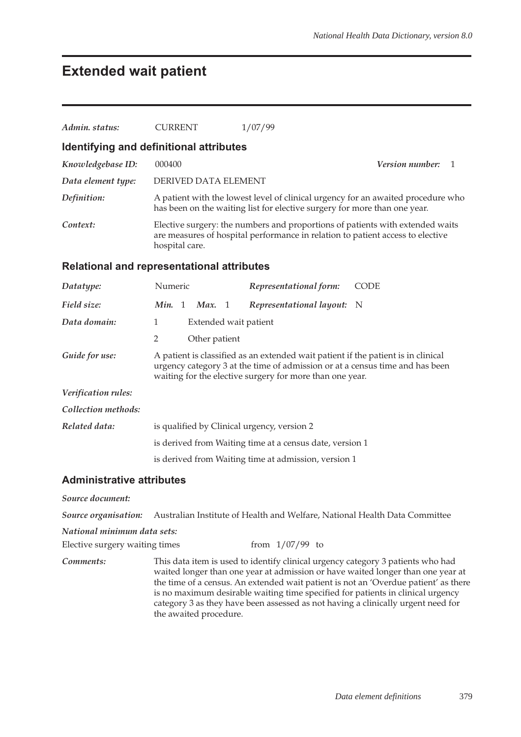### **Extended wait patient**

| Admin. status:                          | 1/07/99<br><b>CURRENT</b>                                                                                                                                                                                                     |  |  |  |  |  |  |
|-----------------------------------------|-------------------------------------------------------------------------------------------------------------------------------------------------------------------------------------------------------------------------------|--|--|--|--|--|--|
| Identifying and definitional attributes |                                                                                                                                                                                                                               |  |  |  |  |  |  |
| Knowledgebase ID:                       | Version number:<br>000400<br>-1                                                                                                                                                                                               |  |  |  |  |  |  |
| Data element type:                      | DERIVED DATA ELEMENT                                                                                                                                                                                                          |  |  |  |  |  |  |
| Definition:                             | A patient with the lowest level of clinical urgency for an awaited procedure who<br>has been on the waiting list for elective surgery for more than one year.                                                                 |  |  |  |  |  |  |
| Context:                                | Elective surgery: the numbers and proportions of patients with extended waits<br>are measures of hospital performance in relation to patient access to elective<br>hospital care.                                             |  |  |  |  |  |  |
|                                         | <b>Relational and representational attributes</b>                                                                                                                                                                             |  |  |  |  |  |  |
| Datatype:                               | Numeric<br>Representational form:<br><b>CODE</b>                                                                                                                                                                              |  |  |  |  |  |  |
| Field size:                             | Min. 1<br>Representational layout:<br>Max. 1<br>- N                                                                                                                                                                           |  |  |  |  |  |  |
| Data domain:                            | 1<br>Extended wait patient                                                                                                                                                                                                    |  |  |  |  |  |  |
|                                         | 2<br>Other patient                                                                                                                                                                                                            |  |  |  |  |  |  |
| Guide for use:                          | A patient is classified as an extended wait patient if the patient is in clinical<br>urgency category 3 at the time of admission or at a census time and has been<br>waiting for the elective surgery for more than one year. |  |  |  |  |  |  |
| Verification rules:                     |                                                                                                                                                                                                                               |  |  |  |  |  |  |
| Collection methods:                     |                                                                                                                                                                                                                               |  |  |  |  |  |  |
| Related data:                           | is qualified by Clinical urgency, version 2                                                                                                                                                                                   |  |  |  |  |  |  |
|                                         | is derived from Waiting time at a census date, version 1                                                                                                                                                                      |  |  |  |  |  |  |
|                                         | is derived from Waiting time at admission, version 1                                                                                                                                                                          |  |  |  |  |  |  |
| <b>Administrative attributes</b>        |                                                                                                                                                                                                                               |  |  |  |  |  |  |

*Source document:*

*Source organisation:* Australian Institute of Health and Welfare, National Health Data Committee

*National minimum data sets:*

Elective surgery waiting times from  $1/07/99$  to

*Comments:* This data item is used to identify clinical urgency category 3 patients who had waited longer than one year at admission or have waited longer than one year at the time of a census. An extended wait patient is not an 'Overdue patient' as there is no maximum desirable waiting time specified for patients in clinical urgency category 3 as they have been assessed as not having a clinically urgent need for the awaited procedure.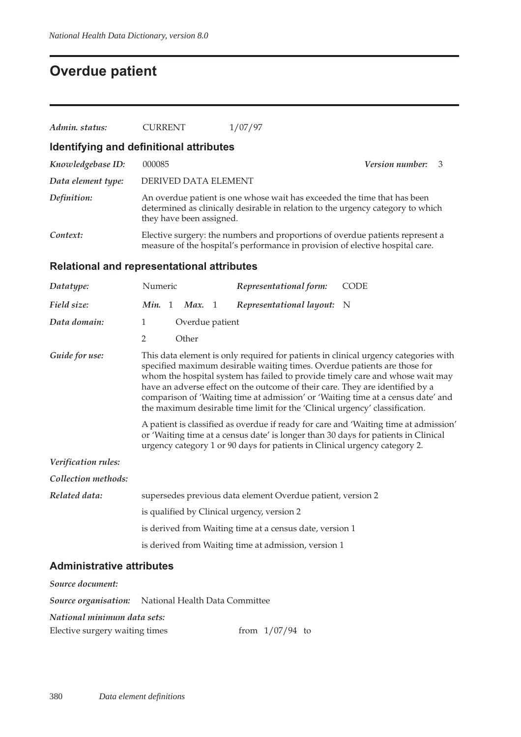# **Overdue patient**

| Admin. status:                             | <b>CURRENT</b> |                          | 1/07/97                                                                                                                                                                                                                                                                                                                                                                                                       |                                                                                                                                                                                                                                                                                                                                                  |
|--------------------------------------------|----------------|--------------------------|---------------------------------------------------------------------------------------------------------------------------------------------------------------------------------------------------------------------------------------------------------------------------------------------------------------------------------------------------------------------------------------------------------------|--------------------------------------------------------------------------------------------------------------------------------------------------------------------------------------------------------------------------------------------------------------------------------------------------------------------------------------------------|
| Identifying and definitional attributes    |                |                          |                                                                                                                                                                                                                                                                                                                                                                                                               |                                                                                                                                                                                                                                                                                                                                                  |
| Knowledgebase ID:                          | 000085         |                          |                                                                                                                                                                                                                                                                                                                                                                                                               | <i>Version number:</i><br>3                                                                                                                                                                                                                                                                                                                      |
| Data element type:                         |                | DERIVED DATA ELEMENT     |                                                                                                                                                                                                                                                                                                                                                                                                               |                                                                                                                                                                                                                                                                                                                                                  |
| Definition:                                |                | they have been assigned. | An overdue patient is one whose wait has exceeded the time that has been<br>determined as clinically desirable in relation to the urgency category to which                                                                                                                                                                                                                                                   |                                                                                                                                                                                                                                                                                                                                                  |
| Context:                                   |                |                          | Elective surgery: the numbers and proportions of overdue patients represent a<br>measure of the hospital's performance in provision of elective hospital care.                                                                                                                                                                                                                                                |                                                                                                                                                                                                                                                                                                                                                  |
| Relational and representational attributes |                |                          |                                                                                                                                                                                                                                                                                                                                                                                                               |                                                                                                                                                                                                                                                                                                                                                  |
| Datatype:                                  | Numeric        |                          | Representational form:                                                                                                                                                                                                                                                                                                                                                                                        | CODE                                                                                                                                                                                                                                                                                                                                             |
| Field size:                                | Min. 1         | Max. 1                   | Representational layout:                                                                                                                                                                                                                                                                                                                                                                                      | N                                                                                                                                                                                                                                                                                                                                                |
| Data domain:                               | 1              | Overdue patient          |                                                                                                                                                                                                                                                                                                                                                                                                               |                                                                                                                                                                                                                                                                                                                                                  |
|                                            | 2              | Other                    |                                                                                                                                                                                                                                                                                                                                                                                                               |                                                                                                                                                                                                                                                                                                                                                  |
| Guide for use:                             |                |                          | specified maximum desirable waiting times. Overdue patients are those for<br>have an adverse effect on the outcome of their care. They are identified by a<br>the maximum desirable time limit for the 'Clinical urgency' classification.<br>or 'Waiting time at a census date' is longer than 30 days for patients in Clinical<br>urgency category 1 or 90 days for patients in Clinical urgency category 2. | This data element is only required for patients in clinical urgency categories with<br>whom the hospital system has failed to provide timely care and whose wait may<br>comparison of 'Waiting time at admission' or 'Waiting time at a census date' and<br>A patient is classified as overdue if ready for care and 'Waiting time at admission' |
| Verification rules:                        |                |                          |                                                                                                                                                                                                                                                                                                                                                                                                               |                                                                                                                                                                                                                                                                                                                                                  |
| Collection methods:                        |                |                          |                                                                                                                                                                                                                                                                                                                                                                                                               |                                                                                                                                                                                                                                                                                                                                                  |
| Related data:                              |                |                          | supersedes previous data element Overdue patient, version 2                                                                                                                                                                                                                                                                                                                                                   |                                                                                                                                                                                                                                                                                                                                                  |
|                                            |                |                          | is qualified by Clinical urgency, version 2                                                                                                                                                                                                                                                                                                                                                                   |                                                                                                                                                                                                                                                                                                                                                  |
|                                            |                |                          | is derived from Waiting time at a census date, version 1                                                                                                                                                                                                                                                                                                                                                      |                                                                                                                                                                                                                                                                                                                                                  |
|                                            |                |                          | is derived from Waiting time at admission, version 1                                                                                                                                                                                                                                                                                                                                                          |                                                                                                                                                                                                                                                                                                                                                  |

#### **Administrative attributes**

| Source document:                                           |  |  |                   |  |  |
|------------------------------------------------------------|--|--|-------------------|--|--|
| <b>Source organisation:</b> National Health Data Committee |  |  |                   |  |  |
| National minimum data sets:                                |  |  |                   |  |  |
| Elective surgery waiting times                             |  |  | from $1/07/94$ to |  |  |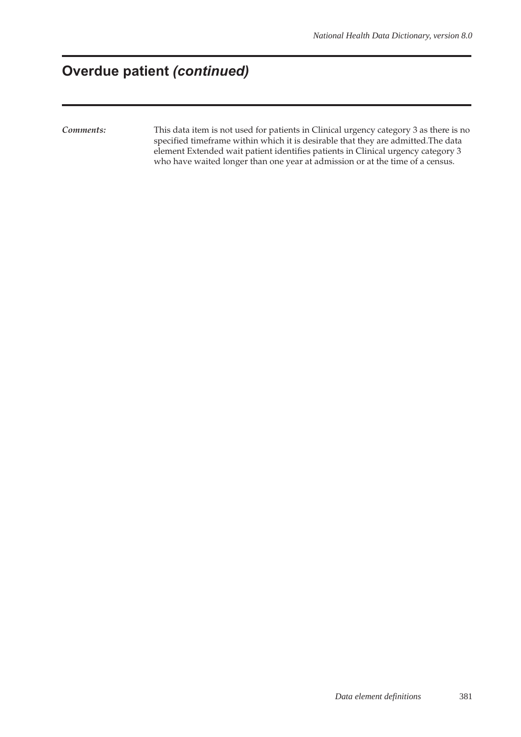### **Overdue patient** *(continued)*

*Comments:* This data item is not used for patients in Clinical urgency category 3 as there is no specified timeframe within which it is desirable that they are admitted.The data element Extended wait patient identifies patients in Clinical urgency category 3 who have waited longer than one year at admission or at the time of a census.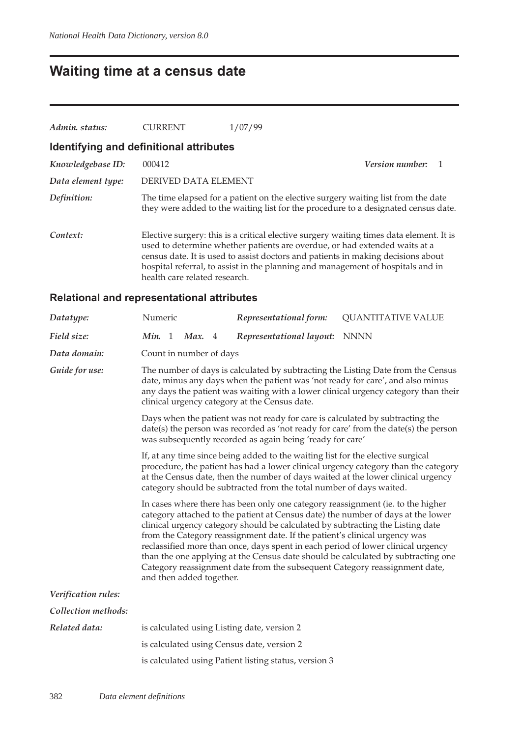### **Waiting time at a census date**

| Admin. status:                          | <b>CURRENT</b>                | 1/07/99                                                                                                                                                                                                                                                                                                                                      |  |
|-----------------------------------------|-------------------------------|----------------------------------------------------------------------------------------------------------------------------------------------------------------------------------------------------------------------------------------------------------------------------------------------------------------------------------------------|--|
| Identifying and definitional attributes |                               |                                                                                                                                                                                                                                                                                                                                              |  |
| Knowledgebase ID:                       | 000412                        | <i>Version number:</i>                                                                                                                                                                                                                                                                                                                       |  |
| Data element type:                      | DERIVED DATA ELEMENT          |                                                                                                                                                                                                                                                                                                                                              |  |
| Definition:                             |                               | The time elapsed for a patient on the elective surgery waiting list from the date<br>they were added to the waiting list for the procedure to a designated census date.                                                                                                                                                                      |  |
| Context:                                | health care related research. | Elective surgery: this is a critical elective surgery waiting times data element. It is<br>used to determine whether patients are overdue, or had extended waits at a<br>census date. It is used to assist doctors and patients in making decisions about<br>hospital referral, to assist in the planning and management of hospitals and in |  |

#### **Relational and representational attributes**

| Datatype:           | Numeric                                                                                                                                                                                                                                                                                                                          |                                                                                                                                                                                                                                                                                                                                                                                                                                                                                                                                                                                                                       |  | Representational form:                                | <b>QUANTITATIVE VALUE</b>                                                                                                                                                                                                                                |  |
|---------------------|----------------------------------------------------------------------------------------------------------------------------------------------------------------------------------------------------------------------------------------------------------------------------------------------------------------------------------|-----------------------------------------------------------------------------------------------------------------------------------------------------------------------------------------------------------------------------------------------------------------------------------------------------------------------------------------------------------------------------------------------------------------------------------------------------------------------------------------------------------------------------------------------------------------------------------------------------------------------|--|-------------------------------------------------------|----------------------------------------------------------------------------------------------------------------------------------------------------------------------------------------------------------------------------------------------------------|--|
| Field size:         | Min. 1                                                                                                                                                                                                                                                                                                                           | Max. 4                                                                                                                                                                                                                                                                                                                                                                                                                                                                                                                                                                                                                |  | Representational layout: NNNN                         |                                                                                                                                                                                                                                                          |  |
| Data domain:        | Count in number of days                                                                                                                                                                                                                                                                                                          |                                                                                                                                                                                                                                                                                                                                                                                                                                                                                                                                                                                                                       |  |                                                       |                                                                                                                                                                                                                                                          |  |
| Guide for use:      |                                                                                                                                                                                                                                                                                                                                  |                                                                                                                                                                                                                                                                                                                                                                                                                                                                                                                                                                                                                       |  | clinical urgency category at the Census date.         | The number of days is calculated by subtracting the Listing Date from the Census<br>date, minus any days when the patient was 'not ready for care', and also minus<br>any days the patient was waiting with a lower clinical urgency category than their |  |
|                     | Days when the patient was not ready for care is calculated by subtracting the<br>date(s) the person was recorded as 'not ready for care' from the date(s) the person<br>was subsequently recorded as again being 'ready for care'                                                                                                |                                                                                                                                                                                                                                                                                                                                                                                                                                                                                                                                                                                                                       |  |                                                       |                                                                                                                                                                                                                                                          |  |
|                     | If, at any time since being added to the waiting list for the elective surgical<br>procedure, the patient has had a lower clinical urgency category than the category<br>at the Census date, then the number of days waited at the lower clinical urgency<br>category should be subtracted from the total number of days waited. |                                                                                                                                                                                                                                                                                                                                                                                                                                                                                                                                                                                                                       |  |                                                       |                                                                                                                                                                                                                                                          |  |
|                     |                                                                                                                                                                                                                                                                                                                                  | In cases where there has been only one category reassignment (ie. to the higher<br>category attached to the patient at Census date) the number of days at the lower<br>clinical urgency category should be calculated by subtracting the Listing date<br>from the Category reassignment date. If the patient's clinical urgency was<br>reclassified more than once, days spent in each period of lower clinical urgency<br>than the one applying at the Census date should be calculated by subtracting one<br>Category reassignment date from the subsequent Category reassignment date,<br>and then added together. |  |                                                       |                                                                                                                                                                                                                                                          |  |
| Verification rules: |                                                                                                                                                                                                                                                                                                                                  |                                                                                                                                                                                                                                                                                                                                                                                                                                                                                                                                                                                                                       |  |                                                       |                                                                                                                                                                                                                                                          |  |
| Collection methods: |                                                                                                                                                                                                                                                                                                                                  |                                                                                                                                                                                                                                                                                                                                                                                                                                                                                                                                                                                                                       |  |                                                       |                                                                                                                                                                                                                                                          |  |
| Related data:       |                                                                                                                                                                                                                                                                                                                                  |                                                                                                                                                                                                                                                                                                                                                                                                                                                                                                                                                                                                                       |  | is calculated using Listing date, version 2           |                                                                                                                                                                                                                                                          |  |
|                     |                                                                                                                                                                                                                                                                                                                                  |                                                                                                                                                                                                                                                                                                                                                                                                                                                                                                                                                                                                                       |  | is calculated using Census date, version 2            |                                                                                                                                                                                                                                                          |  |
|                     |                                                                                                                                                                                                                                                                                                                                  |                                                                                                                                                                                                                                                                                                                                                                                                                                                                                                                                                                                                                       |  | is calculated using Patient listing status, version 3 |                                                                                                                                                                                                                                                          |  |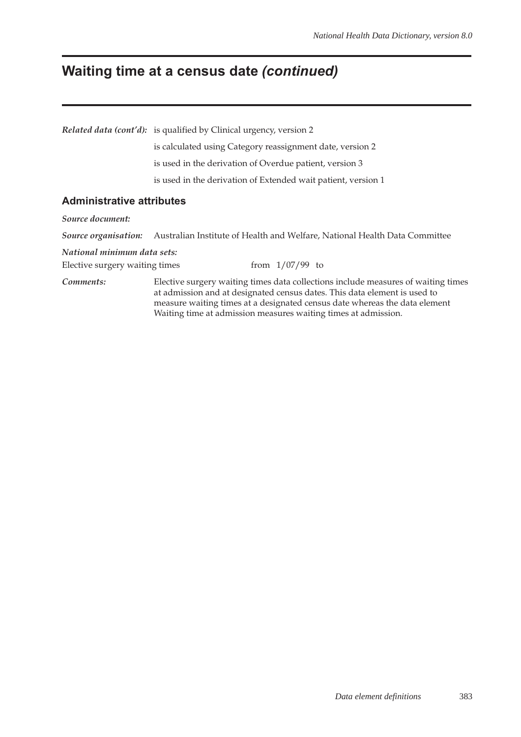# **Waiting time at a census date** *(continued)*

|                                  | <i>Related data (cont'd)</i> : is qualified by Clinical urgency, version 2                                                                                                                                                                                                                                     |  |  |  |  |  |
|----------------------------------|----------------------------------------------------------------------------------------------------------------------------------------------------------------------------------------------------------------------------------------------------------------------------------------------------------------|--|--|--|--|--|
|                                  | is calculated using Category reassignment date, version 2                                                                                                                                                                                                                                                      |  |  |  |  |  |
|                                  | is used in the derivation of Overdue patient, version 3                                                                                                                                                                                                                                                        |  |  |  |  |  |
|                                  | is used in the derivation of Extended wait patient, version 1                                                                                                                                                                                                                                                  |  |  |  |  |  |
| <b>Administrative attributes</b> |                                                                                                                                                                                                                                                                                                                |  |  |  |  |  |
| Source document:                 |                                                                                                                                                                                                                                                                                                                |  |  |  |  |  |
|                                  | Source organisation: Australian Institute of Health and Welfare, National Health Data Committee                                                                                                                                                                                                                |  |  |  |  |  |
| National minimum data sets:      |                                                                                                                                                                                                                                                                                                                |  |  |  |  |  |
| Elective surgery waiting times   | from $1/07/99$ to                                                                                                                                                                                                                                                                                              |  |  |  |  |  |
| Comments:                        | Elective surgery waiting times data collections include measures of waiting times<br>at admission and at designated census dates. This data element is used to<br>measure waiting times at a designated census date whereas the data element<br>Waiting time at admission measures waiting times at admission. |  |  |  |  |  |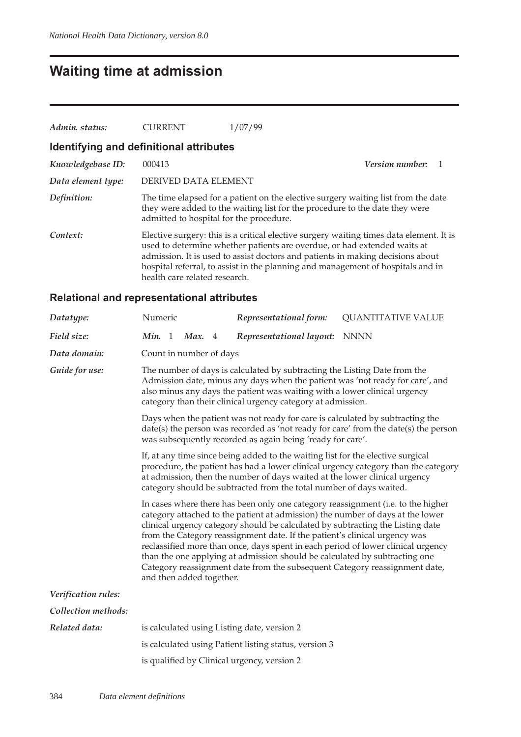### **Waiting time at admission**

| Admin. status:                          | <b>CURRENT</b>                          | 1/07/99                                                                                                                                                                                                                                                                                                                                  |                          |  |
|-----------------------------------------|-----------------------------------------|------------------------------------------------------------------------------------------------------------------------------------------------------------------------------------------------------------------------------------------------------------------------------------------------------------------------------------------|--------------------------|--|
| Identifying and definitional attributes |                                         |                                                                                                                                                                                                                                                                                                                                          |                          |  |
| Knowledgebase ID:                       | 000413                                  |                                                                                                                                                                                                                                                                                                                                          | <b>Version number:</b> 1 |  |
| Data element type:                      | DERIVED DATA ELEMENT                    |                                                                                                                                                                                                                                                                                                                                          |                          |  |
| Definition:                             | admitted to hospital for the procedure. | The time elapsed for a patient on the elective surgery waiting list from the date<br>they were added to the waiting list for the procedure to the date they were                                                                                                                                                                         |                          |  |
| Context:                                | health care related research.           | Elective surgery: this is a critical elective surgery waiting times data element. It is<br>used to determine whether patients are overdue, or had extended waits at<br>admission. It is used to assist doctors and patients in making decisions about<br>hospital referral, to assist in the planning and management of hospitals and in |                          |  |

#### **Relational and representational attributes**

| Datatype:           | Numeric                                                                                                                                                                                                                                                                                                                                                                                                                                                                                                                                      |                                                                                                                                                                                                                                                                                                                                                                                                                                                                                                                                                                                                                |  | Representational form:                                | <b>QUANTITATIVE VALUE</b> |  |  |
|---------------------|----------------------------------------------------------------------------------------------------------------------------------------------------------------------------------------------------------------------------------------------------------------------------------------------------------------------------------------------------------------------------------------------------------------------------------------------------------------------------------------------------------------------------------------------|----------------------------------------------------------------------------------------------------------------------------------------------------------------------------------------------------------------------------------------------------------------------------------------------------------------------------------------------------------------------------------------------------------------------------------------------------------------------------------------------------------------------------------------------------------------------------------------------------------------|--|-------------------------------------------------------|---------------------------|--|--|
| Field size:         | Min. 1                                                                                                                                                                                                                                                                                                                                                                                                                                                                                                                                       | Max. 4                                                                                                                                                                                                                                                                                                                                                                                                                                                                                                                                                                                                         |  | Representational layout:                              | NNNN                      |  |  |
| Data domain:        | Count in number of days                                                                                                                                                                                                                                                                                                                                                                                                                                                                                                                      |                                                                                                                                                                                                                                                                                                                                                                                                                                                                                                                                                                                                                |  |                                                       |                           |  |  |
| Guide for use:      | The number of days is calculated by subtracting the Listing Date from the<br>Admission date, minus any days when the patient was 'not ready for care', and<br>also minus any days the patient was waiting with a lower clinical urgency<br>category than their clinical urgency category at admission.<br>Days when the patient was not ready for care is calculated by subtracting the<br>date(s) the person was recorded as 'not ready for care' from the date(s) the person<br>was subsequently recorded as again being 'ready for care'. |                                                                                                                                                                                                                                                                                                                                                                                                                                                                                                                                                                                                                |  |                                                       |                           |  |  |
|                     |                                                                                                                                                                                                                                                                                                                                                                                                                                                                                                                                              |                                                                                                                                                                                                                                                                                                                                                                                                                                                                                                                                                                                                                |  |                                                       |                           |  |  |
|                     | If, at any time since being added to the waiting list for the elective surgical<br>procedure, the patient has had a lower clinical urgency category than the category<br>at admission, then the number of days waited at the lower clinical urgency<br>category should be subtracted from the total number of days waited.                                                                                                                                                                                                                   |                                                                                                                                                                                                                                                                                                                                                                                                                                                                                                                                                                                                                |  |                                                       |                           |  |  |
|                     |                                                                                                                                                                                                                                                                                                                                                                                                                                                                                                                                              | In cases where there has been only one category reassignment (i.e. to the higher<br>category attached to the patient at admission) the number of days at the lower<br>clinical urgency category should be calculated by subtracting the Listing date<br>from the Category reassignment date. If the patient's clinical urgency was<br>reclassified more than once, days spent in each period of lower clinical urgency<br>than the one applying at admission should be calculated by subtracting one<br>Category reassignment date from the subsequent Category reassignment date,<br>and then added together. |  |                                                       |                           |  |  |
| Verification rules: |                                                                                                                                                                                                                                                                                                                                                                                                                                                                                                                                              |                                                                                                                                                                                                                                                                                                                                                                                                                                                                                                                                                                                                                |  |                                                       |                           |  |  |
| Collection methods: |                                                                                                                                                                                                                                                                                                                                                                                                                                                                                                                                              |                                                                                                                                                                                                                                                                                                                                                                                                                                                                                                                                                                                                                |  |                                                       |                           |  |  |
| Related data:       |                                                                                                                                                                                                                                                                                                                                                                                                                                                                                                                                              |                                                                                                                                                                                                                                                                                                                                                                                                                                                                                                                                                                                                                |  | is calculated using Listing date, version 2           |                           |  |  |
|                     |                                                                                                                                                                                                                                                                                                                                                                                                                                                                                                                                              |                                                                                                                                                                                                                                                                                                                                                                                                                                                                                                                                                                                                                |  | is calculated using Patient listing status, version 3 |                           |  |  |
|                     |                                                                                                                                                                                                                                                                                                                                                                                                                                                                                                                                              |                                                                                                                                                                                                                                                                                                                                                                                                                                                                                                                                                                                                                |  | is qualified by Clinical urgency, version 2           |                           |  |  |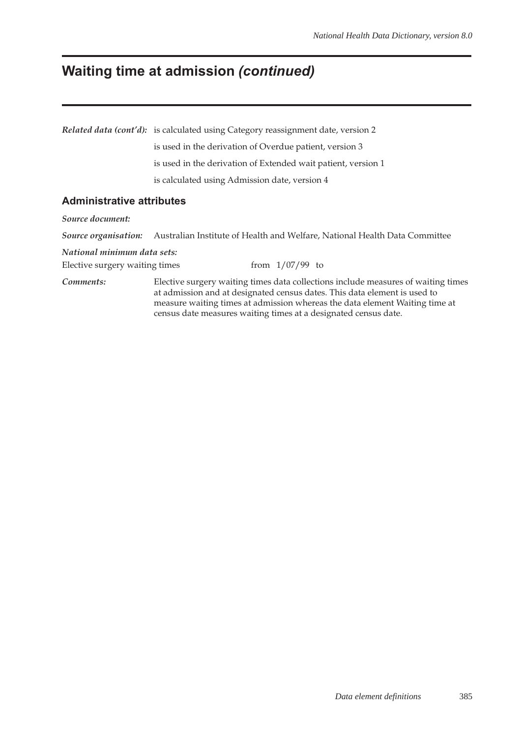# **Waiting time at admission** *(continued)*

|                                  | <i>Related data (cont'd):</i> is calculated using Category reassignment date, version 2                                                                                                                                                                                                                          |  |  |  |  |  |  |  |
|----------------------------------|------------------------------------------------------------------------------------------------------------------------------------------------------------------------------------------------------------------------------------------------------------------------------------------------------------------|--|--|--|--|--|--|--|
|                                  | is used in the derivation of Overdue patient, version 3                                                                                                                                                                                                                                                          |  |  |  |  |  |  |  |
|                                  | is used in the derivation of Extended wait patient, version 1                                                                                                                                                                                                                                                    |  |  |  |  |  |  |  |
|                                  | is calculated using Admission date, version 4                                                                                                                                                                                                                                                                    |  |  |  |  |  |  |  |
| <b>Administrative attributes</b> |                                                                                                                                                                                                                                                                                                                  |  |  |  |  |  |  |  |
| Source document:                 |                                                                                                                                                                                                                                                                                                                  |  |  |  |  |  |  |  |
|                                  | Source organisation: Australian Institute of Health and Welfare, National Health Data Committee                                                                                                                                                                                                                  |  |  |  |  |  |  |  |
| National minimum data sets:      |                                                                                                                                                                                                                                                                                                                  |  |  |  |  |  |  |  |
| Elective surgery waiting times   | from $1/07/99$ to                                                                                                                                                                                                                                                                                                |  |  |  |  |  |  |  |
| Comments:                        | Elective surgery waiting times data collections include measures of waiting times<br>at admission and at designated census dates. This data element is used to<br>measure waiting times at admission whereas the data element Waiting time at<br>census date measures waiting times at a designated census date. |  |  |  |  |  |  |  |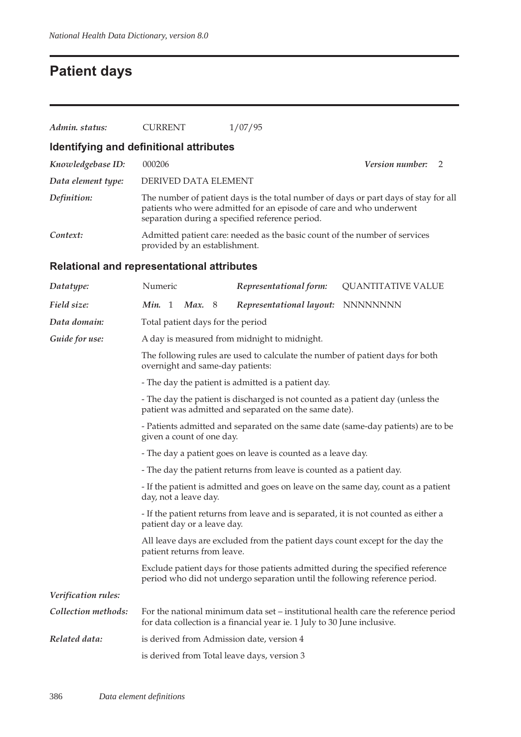# **Patient days**

| Admin. status:                                    | <b>CURRENT</b>                                                                                                                                                                                                                                            | 1/07/95                                                                                                                                                                                                       |                             |  |  |  |  |
|---------------------------------------------------|-----------------------------------------------------------------------------------------------------------------------------------------------------------------------------------------------------------------------------------------------------------|---------------------------------------------------------------------------------------------------------------------------------------------------------------------------------------------------------------|-----------------------------|--|--|--|--|
| Identifying and definitional attributes           |                                                                                                                                                                                                                                                           |                                                                                                                                                                                                               |                             |  |  |  |  |
| Knowledgebase ID:                                 | 000206                                                                                                                                                                                                                                                    |                                                                                                                                                                                                               | <i>Version number:</i><br>2 |  |  |  |  |
| Data element type:                                | DERIVED DATA ELEMENT                                                                                                                                                                                                                                      |                                                                                                                                                                                                               |                             |  |  |  |  |
| Definition:                                       |                                                                                                                                                                                                                                                           | The number of patient days is the total number of days or part days of stay for all<br>patients who were admitted for an episode of care and who underwent<br>separation during a specified reference period. |                             |  |  |  |  |
| Context:                                          | provided by an establishment.                                                                                                                                                                                                                             | Admitted patient care: needed as the basic count of the number of services                                                                                                                                    |                             |  |  |  |  |
| <b>Relational and representational attributes</b> |                                                                                                                                                                                                                                                           |                                                                                                                                                                                                               |                             |  |  |  |  |
| Datatype:                                         | Numeric                                                                                                                                                                                                                                                   | Representational form:                                                                                                                                                                                        | <b>QUANTITATIVE VALUE</b>   |  |  |  |  |
| Field size:                                       | Min. 1<br>Max. 8                                                                                                                                                                                                                                          | Representational layout:                                                                                                                                                                                      | <b>NNNNNNNN</b>             |  |  |  |  |
| Data domain:                                      | Total patient days for the period                                                                                                                                                                                                                         |                                                                                                                                                                                                               |                             |  |  |  |  |
| Guide for use:                                    | A day is measured from midnight to midnight.                                                                                                                                                                                                              |                                                                                                                                                                                                               |                             |  |  |  |  |
|                                                   |                                                                                                                                                                                                                                                           | The following rules are used to calculate the number of patient days for both<br>overnight and same-day patients:                                                                                             |                             |  |  |  |  |
|                                                   | - The day the patient is admitted is a patient day.                                                                                                                                                                                                       |                                                                                                                                                                                                               |                             |  |  |  |  |
|                                                   | - The day the patient is discharged is not counted as a patient day (unless the<br>patient was admitted and separated on the same date).<br>- Patients admitted and separated on the same date (same-day patients) are to be<br>given a count of one day. |                                                                                                                                                                                                               |                             |  |  |  |  |
|                                                   |                                                                                                                                                                                                                                                           |                                                                                                                                                                                                               |                             |  |  |  |  |
|                                                   | - The day a patient goes on leave is counted as a leave day.                                                                                                                                                                                              |                                                                                                                                                                                                               |                             |  |  |  |  |
|                                                   | - The day the patient returns from leave is counted as a patient day.                                                                                                                                                                                     |                                                                                                                                                                                                               |                             |  |  |  |  |
|                                                   | - If the patient is admitted and goes on leave on the same day, count as a patient<br>day, not a leave day.                                                                                                                                               |                                                                                                                                                                                                               |                             |  |  |  |  |
|                                                   | - If the patient returns from leave and is separated, it is not counted as either a<br>patient day or a leave day.                                                                                                                                        |                                                                                                                                                                                                               |                             |  |  |  |  |
|                                                   | All leave days are excluded from the patient days count except for the day the<br>patient returns from leave.                                                                                                                                             |                                                                                                                                                                                                               |                             |  |  |  |  |
|                                                   |                                                                                                                                                                                                                                                           | Exclude patient days for those patients admitted during the specified reference<br>period who did not undergo separation until the following reference period.                                                |                             |  |  |  |  |
| Verification rules:                               |                                                                                                                                                                                                                                                           |                                                                                                                                                                                                               |                             |  |  |  |  |
| Collection methods:                               |                                                                                                                                                                                                                                                           | For the national minimum data set – institutional health care the reference period<br>for data collection is a financial year ie. 1 July to 30 June inclusive.                                                |                             |  |  |  |  |
| Related data:                                     |                                                                                                                                                                                                                                                           | is derived from Admission date, version 4                                                                                                                                                                     |                             |  |  |  |  |
|                                                   |                                                                                                                                                                                                                                                           | is derived from Total leave days, version 3                                                                                                                                                                   |                             |  |  |  |  |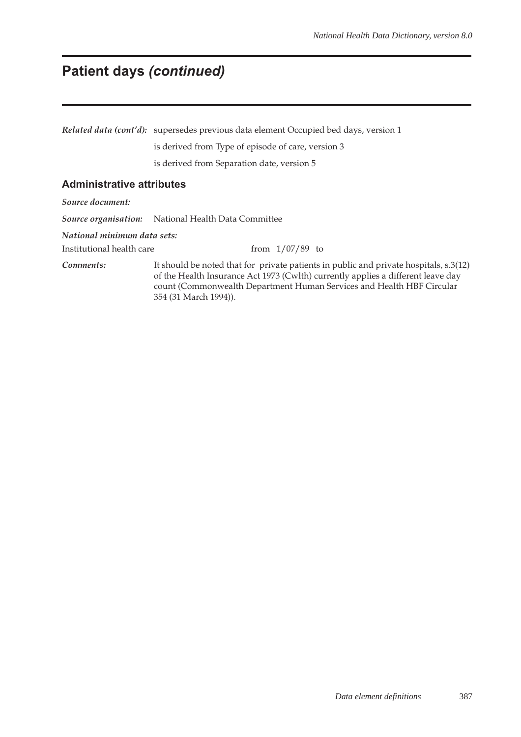### **Patient days** *(continued)*

*Related data (cont'd):* supersedes previous data element Occupied bed days, version 1 is derived from Type of episode of care, version 3 is derived from Separation date, version 5

#### **Administrative attributes**

*Source document:*

*Source organisation:* National Health Data Committee

*National minimum data sets:*

Institutional health care from 1/07/89 to

*Comments:* It should be noted that for private patients in public and private hospitals, s.3(12) of the Health Insurance Act 1973 (Cwlth) currently applies a different leave day count (Commonwealth Department Human Services and Health HBF Circular 354 (31 March 1994)).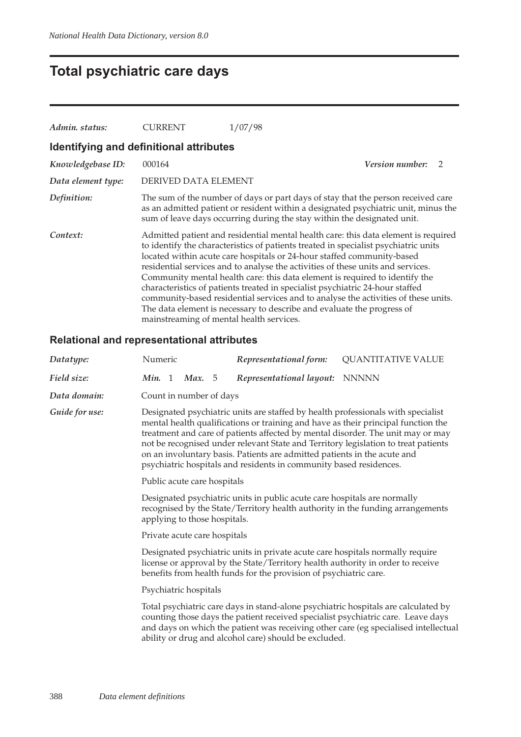# **Total psychiatric care days**

| Admin. status:                          | <b>CURRENT</b>                           | 1/07/98                                                                                                                                                                                                                                                                                                                                                                                                                                                                                                                                                                                                                                                                |                        |               |
|-----------------------------------------|------------------------------------------|------------------------------------------------------------------------------------------------------------------------------------------------------------------------------------------------------------------------------------------------------------------------------------------------------------------------------------------------------------------------------------------------------------------------------------------------------------------------------------------------------------------------------------------------------------------------------------------------------------------------------------------------------------------------|------------------------|---------------|
| Identifying and definitional attributes |                                          |                                                                                                                                                                                                                                                                                                                                                                                                                                                                                                                                                                                                                                                                        |                        |               |
| Knowledgebase ID:                       | 000164                                   |                                                                                                                                                                                                                                                                                                                                                                                                                                                                                                                                                                                                                                                                        | <b>Version number:</b> | $\mathcal{P}$ |
| Data element type:                      | DERIVED DATA ELEMENT                     |                                                                                                                                                                                                                                                                                                                                                                                                                                                                                                                                                                                                                                                                        |                        |               |
| Definition:                             |                                          | The sum of the number of days or part days of stay that the person received care<br>as an admitted patient or resident within a designated psychiatric unit, minus the<br>sum of leave days occurring during the stay within the designated unit.                                                                                                                                                                                                                                                                                                                                                                                                                      |                        |               |
| Context:                                | mainstreaming of mental health services. | Admitted patient and residential mental health care: this data element is required<br>to identify the characteristics of patients treated in specialist psychiatric units<br>located within acute care hospitals or 24-hour staffed community-based<br>residential services and to analyse the activities of these units and services.<br>Community mental health care: this data element is required to identify the<br>characteristics of patients treated in specialist psychiatric 24-hour staffed<br>community-based residential services and to analyse the activities of these units.<br>The data element is necessary to describe and evaluate the progress of |                        |               |

#### **Relational and representational attributes**

| Datatype:      | Numeric                                                                                                                                                                                                                                                                                                                                                                                                                                                                                          |  |                         |  | Representational form:         | <b>QUANTITATIVE VALUE</b> |  |  |
|----------------|--------------------------------------------------------------------------------------------------------------------------------------------------------------------------------------------------------------------------------------------------------------------------------------------------------------------------------------------------------------------------------------------------------------------------------------------------------------------------------------------------|--|-------------------------|--|--------------------------------|---------------------------|--|--|
| Field size:    | Min. 1                                                                                                                                                                                                                                                                                                                                                                                                                                                                                           |  | <b>Max.</b> 5           |  | Representational layout: NNNNN |                           |  |  |
| Data domain:   |                                                                                                                                                                                                                                                                                                                                                                                                                                                                                                  |  | Count in number of days |  |                                |                           |  |  |
| Guide for use: | Designated psychiatric units are staffed by health professionals with specialist<br>mental health qualifications or training and have as their principal function the<br>treatment and care of patients affected by mental disorder. The unit may or may<br>not be recognised under relevant State and Territory legislation to treat patients<br>on an involuntary basis. Patients are admitted patients in the acute and<br>psychiatric hospitals and residents in community based residences. |  |                         |  |                                |                           |  |  |
|                | Public acute care hospitals                                                                                                                                                                                                                                                                                                                                                                                                                                                                      |  |                         |  |                                |                           |  |  |
|                | Designated psychiatric units in public acute care hospitals are normally<br>recognised by the State/Territory health authority in the funding arrangements<br>applying to those hospitals.                                                                                                                                                                                                                                                                                                       |  |                         |  |                                |                           |  |  |
|                | Private acute care hospitals                                                                                                                                                                                                                                                                                                                                                                                                                                                                     |  |                         |  |                                |                           |  |  |
|                | Designated psychiatric units in private acute care hospitals normally require<br>license or approval by the State/Territory health authority in order to receive<br>benefits from health funds for the provision of psychiatric care.                                                                                                                                                                                                                                                            |  |                         |  |                                |                           |  |  |
|                | Psychiatric hospitals                                                                                                                                                                                                                                                                                                                                                                                                                                                                            |  |                         |  |                                |                           |  |  |
|                | Total psychiatric care days in stand-alone psychiatric hospitals are calculated by<br>counting those days the patient received specialist psychiatric care. Leave days<br>and days on which the patient was receiving other care (eg specialised intellectual<br>ability or drug and alcohol care) should be excluded.                                                                                                                                                                           |  |                         |  |                                |                           |  |  |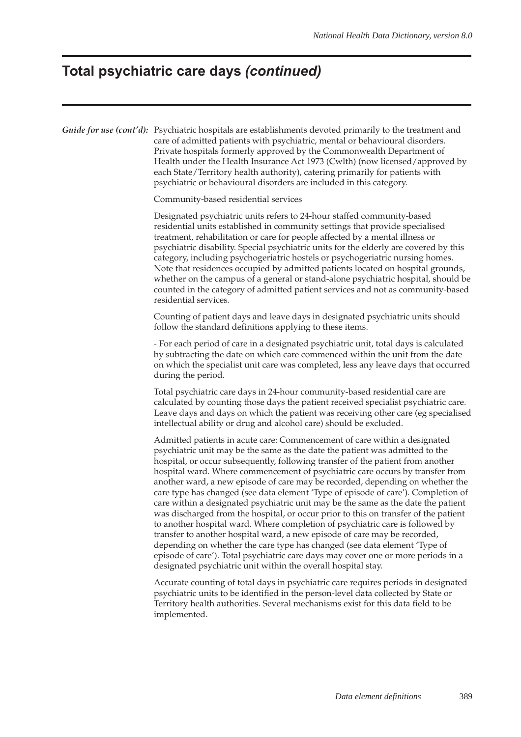#### **Total psychiatric care days** *(continued)*

implemented.

*Guide for use (cont'd)*: Psychiatric hospitals are establishments devoted primarily to the treatment and care of admitted patients with psychiatric, mental or behavioural disorders. Private hospitals formerly approved by the Commonwealth Department of Health under the Health Insurance Act 1973 (Cwlth) (now licensed/approved by each State/Territory health authority), catering primarily for patients with psychiatric or behavioural disorders are included in this category. Community-based residential services Designated psychiatric units refers to 24-hour staffed community-based residential units established in community settings that provide specialised treatment, rehabilitation or care for people affected by a mental illness or psychiatric disability. Special psychiatric units for the elderly are covered by this category, including psychogeriatric hostels or psychogeriatric nursing homes. Note that residences occupied by admitted patients located on hospital grounds, whether on the campus of a general or stand-alone psychiatric hospital, should be counted in the category of admitted patient services and not as community-based residential services. Counting of patient days and leave days in designated psychiatric units should follow the standard definitions applying to these items. - For each period of care in a designated psychiatric unit, total days is calculated by subtracting the date on which care commenced within the unit from the date on which the specialist unit care was completed, less any leave days that occurred during the period. Total psychiatric care days in 24-hour community-based residential care are calculated by counting those days the patient received specialist psychiatric care. Leave days and days on which the patient was receiving other care (eg specialised intellectual ability or drug and alcohol care) should be excluded. Admitted patients in acute care: Commencement of care within a designated psychiatric unit may be the same as the date the patient was admitted to the hospital, or occur subsequently, following transfer of the patient from another hospital ward. Where commencement of psychiatric care occurs by transfer from another ward, a new episode of care may be recorded, depending on whether the care type has changed (see data element 'Type of episode of care'). Completion of care within a designated psychiatric unit may be the same as the date the patient was discharged from the hospital, or occur prior to this on transfer of the patient to another hospital ward. Where completion of psychiatric care is followed by transfer to another hospital ward, a new episode of care may be recorded, depending on whether the care type has changed (see data element 'Type of episode of care'). Total psychiatric care days may cover one or more periods in a designated psychiatric unit within the overall hospital stay. Accurate counting of total days in psychiatric care requires periods in designated psychiatric units to be identified in the person-level data collected by State or Territory health authorities. Several mechanisms exist for this data field to be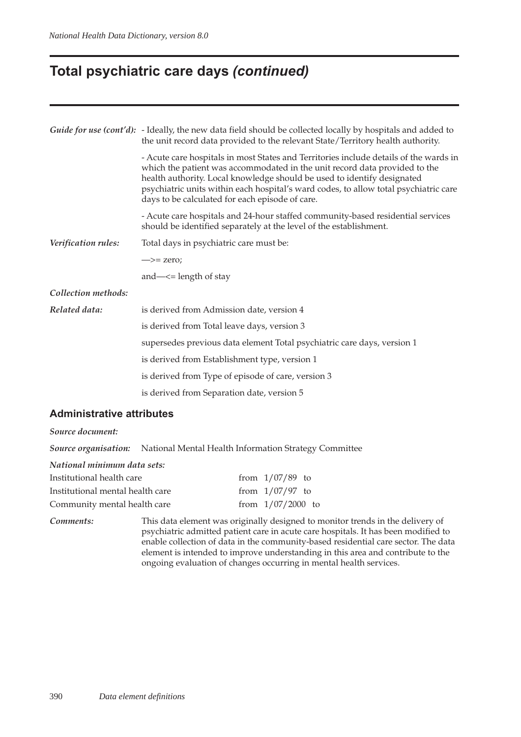### **Total psychiatric care days** *(continued)*

|                     | Guide for use (cont'd): - Ideally, the new data field should be collected locally by hospitals and added to<br>the unit record data provided to the relevant State/Territory health authority.                                                                                                                                                                                            |  |  |  |  |  |  |
|---------------------|-------------------------------------------------------------------------------------------------------------------------------------------------------------------------------------------------------------------------------------------------------------------------------------------------------------------------------------------------------------------------------------------|--|--|--|--|--|--|
|                     | - Acute care hospitals in most States and Territories include details of the wards in<br>which the patient was accommodated in the unit record data provided to the<br>health authority. Local knowledge should be used to identify designated<br>psychiatric units within each hospital's ward codes, to allow total psychiatric care<br>days to be calculated for each episode of care. |  |  |  |  |  |  |
|                     | - Acute care hospitals and 24-hour staffed community-based residential services<br>should be identified separately at the level of the establishment.                                                                                                                                                                                                                                     |  |  |  |  |  |  |
| Verification rules: | Total days in psychiatric care must be:                                                                                                                                                                                                                                                                                                                                                   |  |  |  |  |  |  |
|                     | $\Rightarrow$ zero;                                                                                                                                                                                                                                                                                                                                                                       |  |  |  |  |  |  |
|                     | and— $\le$ = length of stay                                                                                                                                                                                                                                                                                                                                                               |  |  |  |  |  |  |
| Collection methods: |                                                                                                                                                                                                                                                                                                                                                                                           |  |  |  |  |  |  |
| Related data:       | is derived from Admission date, version 4                                                                                                                                                                                                                                                                                                                                                 |  |  |  |  |  |  |
|                     | is derived from Total leave days, version 3                                                                                                                                                                                                                                                                                                                                               |  |  |  |  |  |  |
|                     | supersedes previous data element Total psychiatric care days, version 1                                                                                                                                                                                                                                                                                                                   |  |  |  |  |  |  |
|                     | is derived from Establishment type, version 1                                                                                                                                                                                                                                                                                                                                             |  |  |  |  |  |  |
|                     | is derived from Type of episode of care, version 3                                                                                                                                                                                                                                                                                                                                        |  |  |  |  |  |  |
|                     | is derived from Separation date, version 5                                                                                                                                                                                                                                                                                                                                                |  |  |  |  |  |  |
|                     |                                                                                                                                                                                                                                                                                                                                                                                           |  |  |  |  |  |  |

#### **Administrative attributes**

#### *Source document:*

*Source organisation:* National Mental Health Information Strategy Committee

| National minimum data sets: |  |
|-----------------------------|--|
|-----------------------------|--|

| Institutional health care        | from $1/07/89$ to   |  |
|----------------------------------|---------------------|--|
| Institutional mental health care | from $1/07/97$ to   |  |
| Community mental health care     | from $1/07/2000$ to |  |

*Comments:* This data element was originally designed to monitor trends in the delivery of psychiatric admitted patient care in acute care hospitals. It has been modified to enable collection of data in the community-based residential care sector. The data element is intended to improve understanding in this area and contribute to the ongoing evaluation of changes occurring in mental health services.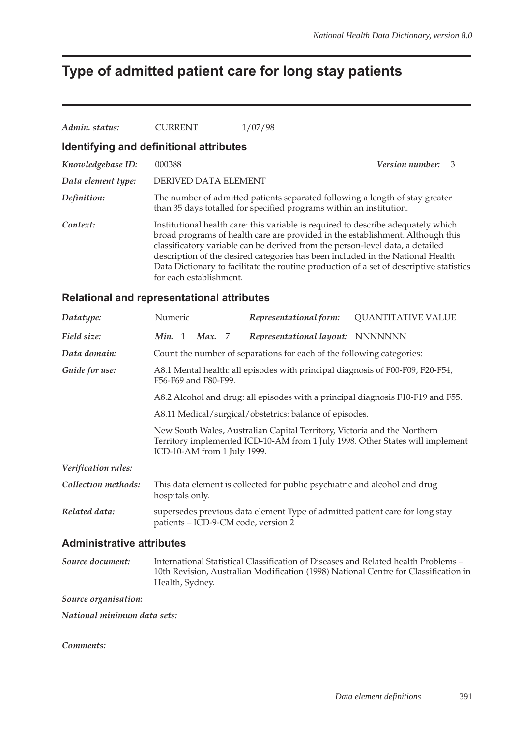# **Type of admitted patient care for long stay patients**

| Admin. status:                          | <b>CURRENT</b>          | 1/07/98                                                                                                                                                                                                                                                                                                                                                                                                                           |  |  |  |  |  |  |  |
|-----------------------------------------|-------------------------|-----------------------------------------------------------------------------------------------------------------------------------------------------------------------------------------------------------------------------------------------------------------------------------------------------------------------------------------------------------------------------------------------------------------------------------|--|--|--|--|--|--|--|
| Identifying and definitional attributes |                         |                                                                                                                                                                                                                                                                                                                                                                                                                                   |  |  |  |  |  |  |  |
| Knowledgebase ID:                       | 000388                  | <b>Version number:</b> 3                                                                                                                                                                                                                                                                                                                                                                                                          |  |  |  |  |  |  |  |
| Data element type:                      | DERIVED DATA ELEMENT    |                                                                                                                                                                                                                                                                                                                                                                                                                                   |  |  |  |  |  |  |  |
| Definition:                             |                         | The number of admitted patients separated following a length of stay greater<br>than 35 days totalled for specified programs within an institution.                                                                                                                                                                                                                                                                               |  |  |  |  |  |  |  |
| Context:                                | for each establishment. | Institutional health care: this variable is required to describe adequately which<br>broad programs of health care are provided in the establishment. Although this<br>classificatory variable can be derived from the person-level data, a detailed<br>description of the desired categories has been included in the National Health<br>Data Dictionary to facilitate the routine production of a set of descriptive statistics |  |  |  |  |  |  |  |

#### **Relational and representational attributes**

| Datatype:           | Numeric                                                                                                |  |               | Representational form: | <b>QUANTITATIVE VALUE</b>                                                                                                                                                                |  |  |
|---------------------|--------------------------------------------------------------------------------------------------------|--|---------------|------------------------|------------------------------------------------------------------------------------------------------------------------------------------------------------------------------------------|--|--|
| Field size:         | Min. 1                                                                                                 |  | <b>Max.</b> 7 |                        | Representational layout: NNNNNNN                                                                                                                                                         |  |  |
| Data domain:        |                                                                                                        |  |               |                        | Count the number of separations for each of the following categories:                                                                                                                    |  |  |
| Guide for use:      | A8.1 Mental health: all episodes with principal diagnosis of F00-F09, F20-F54,<br>F56-F69 and F80-F99. |  |               |                        |                                                                                                                                                                                          |  |  |
|                     | A8.2 Alcohol and drug: all episodes with a principal diagnosis F10-F19 and F55.                        |  |               |                        |                                                                                                                                                                                          |  |  |
|                     | A8.11 Medical/surgical/obstetrics: balance of episodes.                                                |  |               |                        |                                                                                                                                                                                          |  |  |
|                     |                                                                                                        |  |               |                        | New South Wales, Australian Capital Territory, Victoria and the Northern<br>Territory implemented ICD-10-AM from 1 July 1998. Other States will implement<br>ICD-10-AM from 1 July 1999. |  |  |
| Verification rules: |                                                                                                        |  |               |                        |                                                                                                                                                                                          |  |  |
| Collection methods: | hospitals only.                                                                                        |  |               |                        | This data element is collected for public psychiatric and alcohol and drug                                                                                                               |  |  |
| Related data:       |                                                                                                        |  |               |                        | supersedes previous data element Type of admitted patient care for long stay<br>patients - ICD-9-CM code, version 2                                                                      |  |  |

#### **Administrative attributes**

*Source document:* International Statistical Classification of Diseases and Related health Problems – 10th Revision, Australian Modification (1998) National Centre for Classification in Health, Sydney.

*Source organisation:*

*National minimum data sets:*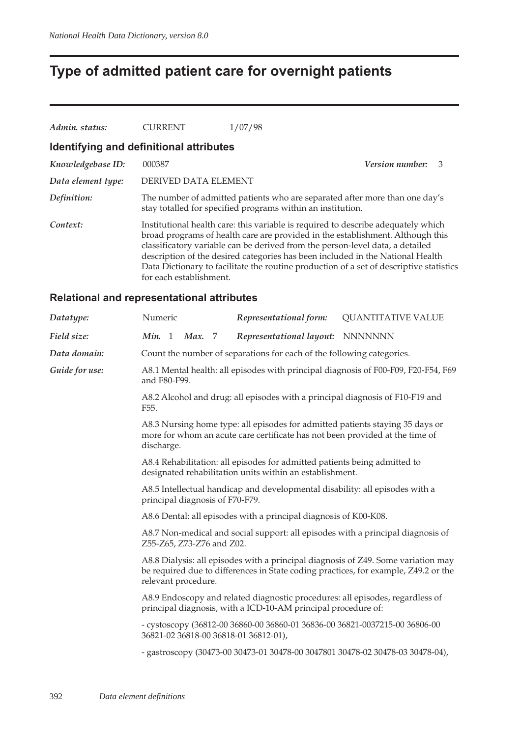# **Type of admitted patient care for overnight patients**

| Admin. status:     | <b>CURRENT</b>                          | 1/07/98                                                                                                                                                                                                                                                                                                                                                                                                                           |                             |
|--------------------|-----------------------------------------|-----------------------------------------------------------------------------------------------------------------------------------------------------------------------------------------------------------------------------------------------------------------------------------------------------------------------------------------------------------------------------------------------------------------------------------|-----------------------------|
|                    | Identifying and definitional attributes |                                                                                                                                                                                                                                                                                                                                                                                                                                   |                             |
| Knowledgebase ID:  | 000387                                  |                                                                                                                                                                                                                                                                                                                                                                                                                                   | <i>Version number:</i><br>3 |
| Data element type: | DERIVED DATA ELEMENT                    |                                                                                                                                                                                                                                                                                                                                                                                                                                   |                             |
| Definition:        |                                         | The number of admitted patients who are separated after more than one day's<br>stay totalled for specified programs within an institution.                                                                                                                                                                                                                                                                                        |                             |
| Context:           | for each establishment.                 | Institutional health care: this variable is required to describe adequately which<br>broad programs of health care are provided in the establishment. Although this<br>classificatory variable can be derived from the person-level data, a detailed<br>description of the desired categories has been included in the National Health<br>Data Dictionary to facilitate the routine production of a set of descriptive statistics |                             |

#### **Relational and representational attributes**

| Datatype:      | Numeric                                                                                                                                                                                         | Representational form:                                                        | <b>QUANTITATIVE VALUE</b>                                                          |  |  |  |  |  |
|----------------|-------------------------------------------------------------------------------------------------------------------------------------------------------------------------------------------------|-------------------------------------------------------------------------------|------------------------------------------------------------------------------------|--|--|--|--|--|
| Field size:    | Min. 1<br><b>Max.</b> 7                                                                                                                                                                         | Representational layout: NNNNNNN                                              |                                                                                    |  |  |  |  |  |
| Data domain:   |                                                                                                                                                                                                 | Count the number of separations for each of the following categories.         |                                                                                    |  |  |  |  |  |
| Guide for use: | and F80-F99.                                                                                                                                                                                    |                                                                               | A8.1 Mental health: all episodes with principal diagnosis of F00-F09, F20-F54, F69 |  |  |  |  |  |
|                | F55.                                                                                                                                                                                            | A8.2 Alcohol and drug: all episodes with a principal diagnosis of F10-F19 and |                                                                                    |  |  |  |  |  |
|                | A8.3 Nursing home type: all episodes for admitted patients staying 35 days or<br>more for whom an acute care certificate has not been provided at the time of<br>discharge.                     |                                                                               |                                                                                    |  |  |  |  |  |
|                | A8.4 Rehabilitation: all episodes for admitted patients being admitted to<br>designated rehabilitation units within an establishment.                                                           |                                                                               |                                                                                    |  |  |  |  |  |
|                | principal diagnosis of F70-F79.                                                                                                                                                                 | A8.5 Intellectual handicap and developmental disability: all episodes with a  |                                                                                    |  |  |  |  |  |
|                | A8.6 Dental: all episodes with a principal diagnosis of K00-K08.                                                                                                                                |                                                                               |                                                                                    |  |  |  |  |  |
|                | A8.7 Non-medical and social support: all episodes with a principal diagnosis of<br>Z55-Z65, Z73-Z76 and Z02.                                                                                    |                                                                               |                                                                                    |  |  |  |  |  |
|                | A8.8 Dialysis: all episodes with a principal diagnosis of Z49. Some variation may<br>be required due to differences in State coding practices, for example, Z49.2 or the<br>relevant procedure. |                                                                               |                                                                                    |  |  |  |  |  |
|                | A8.9 Endoscopy and related diagnostic procedures: all episodes, regardless of<br>principal diagnosis, with a ICD-10-AM principal procedure of:                                                  |                                                                               |                                                                                    |  |  |  |  |  |
|                | - cystoscopy (36812-00 36860-00 36860-01 36836-00 36821-0037215-00 36806-00<br>36821-02 36818-00 36818-01 36812-01),                                                                            |                                                                               |                                                                                    |  |  |  |  |  |
|                |                                                                                                                                                                                                 |                                                                               | - gastroscopy (30473-00 30473-01 30478-00 3047801 30478-02 30478-03 30478-04),     |  |  |  |  |  |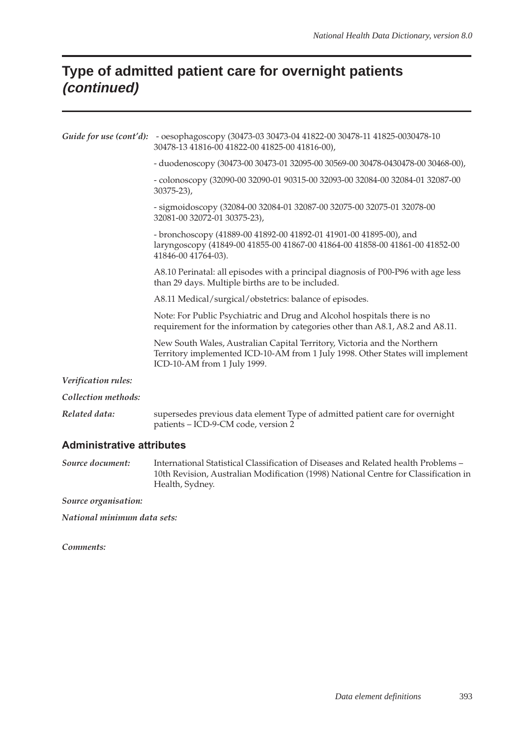### **Type of admitted patient care for overnight patients (continued)**

|                     | Guide for use (cont'd): - oesophagoscopy (30473-03 30473-04 41822-00 30478-11 41825-0030478-10<br>30478-13 41816-00 41822-00 41825-00 41816-00),                                         |
|---------------------|------------------------------------------------------------------------------------------------------------------------------------------------------------------------------------------|
|                     | - duodenoscopy (30473-00 30473-01 32095-00 30569-00 30478-0430478-00 30468-00),                                                                                                          |
|                     | - colonoscopy (32090-00 32090-01 90315-00 32093-00 32084-00 32084-01 32087-00<br>$30375 - 23$ ,                                                                                          |
|                     | - sigmoidoscopy (32084-00 32084-01 32087-00 32075-00 32075-01 32078-00<br>32081-00 32072-01 30375-23),                                                                                   |
|                     | - bronchoscopy (41889-00 41892-00 41892-01 41901-00 41895-00), and<br>laryngoscopy (41849-00 41855-00 41867-00 41864-00 41858-00 41861-00 41852-00<br>41846-00 41764-03).                |
|                     | A8.10 Perinatal: all episodes with a principal diagnosis of P00-P96 with age less<br>than 29 days. Multiple births are to be included.                                                   |
|                     | A8.11 Medical/surgical/obstetrics: balance of episodes.                                                                                                                                  |
|                     | Note: For Public Psychiatric and Drug and Alcohol hospitals there is no<br>requirement for the information by categories other than A8.1, A8.2 and A8.11.                                |
|                     | New South Wales, Australian Capital Territory, Victoria and the Northern<br>Territory implemented ICD-10-AM from 1 July 1998. Other States will implement<br>ICD-10-AM from 1 July 1999. |
| Verification rules: |                                                                                                                                                                                          |
| Collection methods: |                                                                                                                                                                                          |
| Related data:       | supersedes previous data element Type of admitted patient care for overnight<br>patients - ICD-9-CM code, version 2                                                                      |

#### **Administrative attributes**

*Source document:* International Statistical Classification of Diseases and Related health Problems – 10th Revision, Australian Modification (1998) National Centre for Classification in Health, Sydney.

*Source organisation:*

*National minimum data sets:*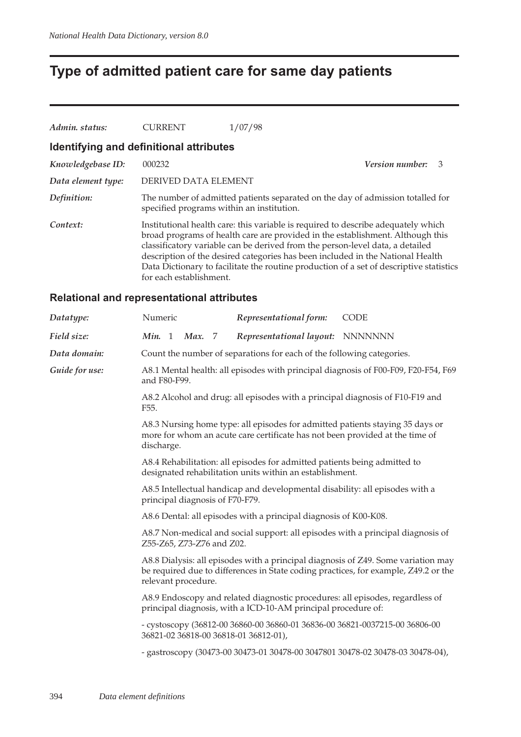# **Type of admitted patient care for same day patients**

| Admin. status:                          | <b>CURRENT</b>          | 1/07/98                                                                                                                                                                                                                                                                                                                                                                                                                           |                      |
|-----------------------------------------|-------------------------|-----------------------------------------------------------------------------------------------------------------------------------------------------------------------------------------------------------------------------------------------------------------------------------------------------------------------------------------------------------------------------------------------------------------------------------|----------------------|
| Identifying and definitional attributes |                         |                                                                                                                                                                                                                                                                                                                                                                                                                                   |                      |
| Knowledgebase ID:                       | 000232                  |                                                                                                                                                                                                                                                                                                                                                                                                                                   | Version number:<br>3 |
| Data element type:                      | DERIVED DATA ELEMENT    |                                                                                                                                                                                                                                                                                                                                                                                                                                   |                      |
| Definition:                             |                         | The number of admitted patients separated on the day of admission totalled for<br>specified programs within an institution.                                                                                                                                                                                                                                                                                                       |                      |
| Context:                                | for each establishment. | Institutional health care: this variable is required to describe adequately which<br>broad programs of health care are provided in the establishment. Although this<br>classificatory variable can be derived from the person-level data, a detailed<br>description of the desired categories has been included in the National Health<br>Data Dictionary to facilitate the routine production of a set of descriptive statistics |                      |

#### **Relational and representational attributes**

| Datatype:      | Numeric                                                                                                                                                                                         | Representational form:                                                        | <b>CODE</b>                                                                        |  |  |  |  |
|----------------|-------------------------------------------------------------------------------------------------------------------------------------------------------------------------------------------------|-------------------------------------------------------------------------------|------------------------------------------------------------------------------------|--|--|--|--|
| Field size:    | Min. 1<br>Max. 7                                                                                                                                                                                | Representational layout: NNNNNNN                                              |                                                                                    |  |  |  |  |
| Data domain:   |                                                                                                                                                                                                 | Count the number of separations for each of the following categories.         |                                                                                    |  |  |  |  |
| Guide for use: | and F80-F99.                                                                                                                                                                                    |                                                                               | A8.1 Mental health: all episodes with principal diagnosis of F00-F09, F20-F54, F69 |  |  |  |  |
|                | F55.                                                                                                                                                                                            | A8.2 Alcohol and drug: all episodes with a principal diagnosis of F10-F19 and |                                                                                    |  |  |  |  |
|                | A8.3 Nursing home type: all episodes for admitted patients staying 35 days or<br>more for whom an acute care certificate has not been provided at the time of<br>discharge.                     |                                                                               |                                                                                    |  |  |  |  |
|                | A8.4 Rehabilitation: all episodes for admitted patients being admitted to<br>designated rehabilitation units within an establishment.                                                           |                                                                               |                                                                                    |  |  |  |  |
|                | A8.5 Intellectual handicap and developmental disability: all episodes with a<br>principal diagnosis of F70-F79.                                                                                 |                                                                               |                                                                                    |  |  |  |  |
|                | A8.6 Dental: all episodes with a principal diagnosis of K00-K08.                                                                                                                                |                                                                               |                                                                                    |  |  |  |  |
|                | A8.7 Non-medical and social support: all episodes with a principal diagnosis of<br>Z55-Z65, Z73-Z76 and Z02.                                                                                    |                                                                               |                                                                                    |  |  |  |  |
|                | A8.8 Dialysis: all episodes with a principal diagnosis of Z49. Some variation may<br>be required due to differences in State coding practices, for example, Z49.2 or the<br>relevant procedure. |                                                                               |                                                                                    |  |  |  |  |
|                | A8.9 Endoscopy and related diagnostic procedures: all episodes, regardless of<br>principal diagnosis, with a ICD-10-AM principal procedure of:                                                  |                                                                               |                                                                                    |  |  |  |  |
|                | - cystoscopy (36812-00 36860-00 36860-01 36836-00 36821-0037215-00 36806-00<br>36821-02 36818-00 36818-01 36812-01),                                                                            |                                                                               |                                                                                    |  |  |  |  |
|                |                                                                                                                                                                                                 |                                                                               | - gastroscopy (30473-00 30473-01 30478-00 3047801 30478-02 30478-03 30478-04),     |  |  |  |  |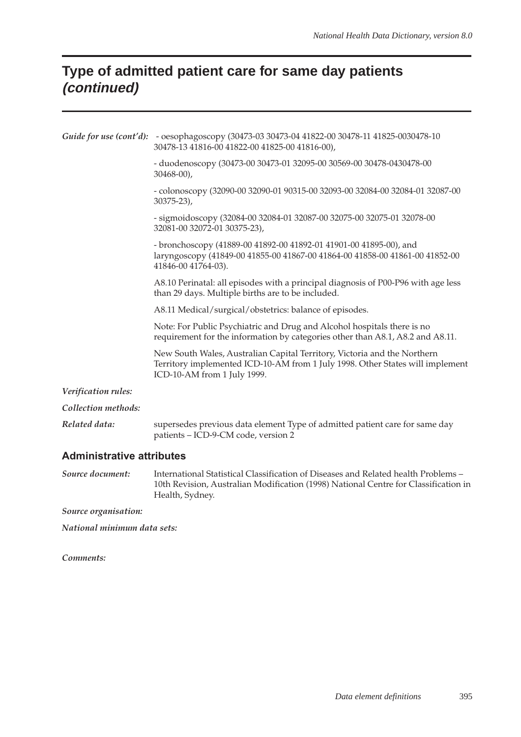# **Type of admitted patient care for same day patients (continued)**

|                     | Guide for use (cont'd): - oesophagoscopy (30473-03 30473-04 41822-00 30478-11 41825-0030478-10<br>30478-13 41816-00 41822-00 41825-00 41816-00),                                         |
|---------------------|------------------------------------------------------------------------------------------------------------------------------------------------------------------------------------------|
|                     | - duodenoscopy (30473-00 30473-01 32095-00 30569-00 30478-0430478-00<br>$30468 - 00$ ,                                                                                                   |
|                     | - colonoscopy (32090-00 32090-01 90315-00 32093-00 32084-00 32084-01 32087-00<br>$30375 - 23$ ,                                                                                          |
|                     | - sigmoidoscopy (32084-00 32084-01 32087-00 32075-00 32075-01 32078-00<br>32081-00 32072-01 30375-23),                                                                                   |
|                     | - bronchoscopy (41889-00 41892-00 41892-01 41901-00 41895-00), and<br>laryngoscopy (41849-00 41855-00 41867-00 41864-00 41858-00 41861-00 41852-00<br>41846-00 41764-03).                |
|                     | A8.10 Perinatal: all episodes with a principal diagnosis of P00-P96 with age less<br>than 29 days. Multiple births are to be included.                                                   |
|                     | A8.11 Medical/surgical/obstetrics: balance of episodes.                                                                                                                                  |
|                     | Note: For Public Psychiatric and Drug and Alcohol hospitals there is no<br>requirement for the information by categories other than A8.1, A8.2 and A8.11.                                |
|                     | New South Wales, Australian Capital Territory, Victoria and the Northern<br>Territory implemented ICD-10-AM from 1 July 1998. Other States will implement<br>ICD-10-AM from 1 July 1999. |
| Verification rules: |                                                                                                                                                                                          |
| Collection methods: |                                                                                                                                                                                          |
| Related data:       | supersedes previous data element Type of admitted patient care for same day<br>patients - ICD-9-CM code, version 2                                                                       |

#### **Administrative attributes**

*Source document:* International Statistical Classification of Diseases and Related health Problems – 10th Revision, Australian Modification (1998) National Centre for Classification in Health, Sydney.

*Source organisation:*

*National minimum data sets:*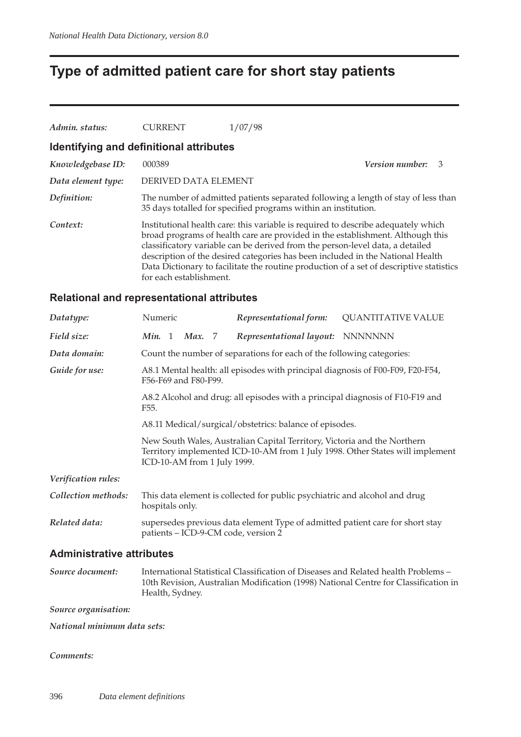# **Type of admitted patient care for short stay patients**

| Admin. status:                          | <b>CURRENT</b>          | 1/07/98                                                                                                                                                                                                                                                                                                                                                                                                                           |                        |               |
|-----------------------------------------|-------------------------|-----------------------------------------------------------------------------------------------------------------------------------------------------------------------------------------------------------------------------------------------------------------------------------------------------------------------------------------------------------------------------------------------------------------------------------|------------------------|---------------|
| Identifying and definitional attributes |                         |                                                                                                                                                                                                                                                                                                                                                                                                                                   |                        |               |
| Knowledgebase ID:                       | 000389                  |                                                                                                                                                                                                                                                                                                                                                                                                                                   | <i>Version number:</i> | $\mathcal{B}$ |
| Data element type:                      | DERIVED DATA ELEMENT    |                                                                                                                                                                                                                                                                                                                                                                                                                                   |                        |               |
| Definition:                             |                         | The number of admitted patients separated following a length of stay of less than<br>35 days totalled for specified programs within an institution.                                                                                                                                                                                                                                                                               |                        |               |
| Context:                                | for each establishment. | Institutional health care: this variable is required to describe adequately which<br>broad programs of health care are provided in the establishment. Although this<br>classificatory variable can be derived from the person-level data, a detailed<br>description of the desired categories has been included in the National Health<br>Data Dictionary to facilitate the routine production of a set of descriptive statistics |                        |               |

#### **Relational and representational attributes**

| Datatype:           | Numeric                                                                                                                                                                                  |                                                                               |        | Representational form: | <b>QUANTITATIVE VALUE</b>                                                                                            |  |  |
|---------------------|------------------------------------------------------------------------------------------------------------------------------------------------------------------------------------------|-------------------------------------------------------------------------------|--------|------------------------|----------------------------------------------------------------------------------------------------------------------|--|--|
| Field size:         | Min. 1                                                                                                                                                                                   |                                                                               | Max. 7 |                        | Representational layout: NNNNNNN                                                                                     |  |  |
| Data domain:        |                                                                                                                                                                                          |                                                                               |        |                        | Count the number of separations for each of the following categories:                                                |  |  |
| Guide for use:      | A8.1 Mental health: all episodes with principal diagnosis of F00-F09, F20-F54,<br>F56-F69 and F80-F99.                                                                                   |                                                                               |        |                        |                                                                                                                      |  |  |
|                     | F <sub>55</sub> .                                                                                                                                                                        | A8.2 Alcohol and drug: all episodes with a principal diagnosis of F10-F19 and |        |                        |                                                                                                                      |  |  |
|                     | A8.11 Medical/surgical/obstetrics: balance of episodes.                                                                                                                                  |                                                                               |        |                        |                                                                                                                      |  |  |
|                     | New South Wales, Australian Capital Territory, Victoria and the Northern<br>Territory implemented ICD-10-AM from 1 July 1998. Other States will implement<br>ICD-10-AM from 1 July 1999. |                                                                               |        |                        |                                                                                                                      |  |  |
| Verification rules: |                                                                                                                                                                                          |                                                                               |        |                        |                                                                                                                      |  |  |
| Collection methods: | hospitals only.                                                                                                                                                                          |                                                                               |        |                        | This data element is collected for public psychiatric and alcohol and drug                                           |  |  |
| Related data:       |                                                                                                                                                                                          |                                                                               |        |                        | supersedes previous data element Type of admitted patient care for short stay<br>patients - ICD-9-CM code, version 2 |  |  |
|                     |                                                                                                                                                                                          |                                                                               |        |                        |                                                                                                                      |  |  |

#### **Administrative attributes**

*Source document:* International Statistical Classification of Diseases and Related health Problems – 10th Revision, Australian Modification (1998) National Centre for Classification in Health, Sydney.

*Source organisation:*

*National minimum data sets:*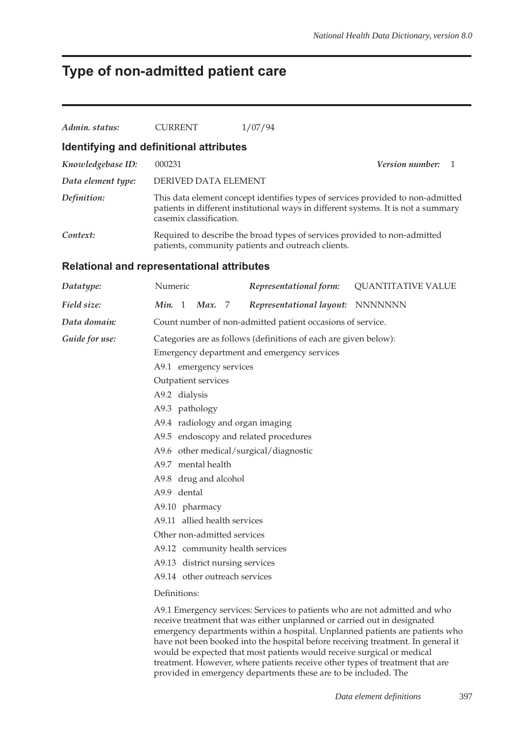### **Type of non-admitted patient care**

| Admin. status:                                    | <b>CURRENT</b>                                                   | 1/07/94                                                                                                                                                                                          |                           |  |  |  |  |  |
|---------------------------------------------------|------------------------------------------------------------------|--------------------------------------------------------------------------------------------------------------------------------------------------------------------------------------------------|---------------------------|--|--|--|--|--|
| Identifying and definitional attributes           |                                                                  |                                                                                                                                                                                                  |                           |  |  |  |  |  |
| Knowledgebase ID:                                 | 000231                                                           |                                                                                                                                                                                                  | Version number:<br>-1     |  |  |  |  |  |
| Data element type:                                |                                                                  | DERIVED DATA ELEMENT                                                                                                                                                                             |                           |  |  |  |  |  |
| Definition:                                       |                                                                  | This data element concept identifies types of services provided to non-admitted<br>patients in different institutional ways in different systems. It is not a summary<br>casemix classification. |                           |  |  |  |  |  |
| Context:                                          |                                                                  | Required to describe the broad types of services provided to non-admitted<br>patients, community patients and outreach clients.                                                                  |                           |  |  |  |  |  |
| <b>Relational and representational attributes</b> |                                                                  |                                                                                                                                                                                                  |                           |  |  |  |  |  |
| Datatype:                                         | Numeric                                                          | Representational form:                                                                                                                                                                           | <b>QUANTITATIVE VALUE</b> |  |  |  |  |  |
| Field size:                                       | Min. 1<br>Max.<br>- 7                                            | Representational layout: NNNNNNN                                                                                                                                                                 |                           |  |  |  |  |  |
| Data domain:                                      |                                                                  | Count number of non-admitted patient occasions of service.                                                                                                                                       |                           |  |  |  |  |  |
| Guide for use:                                    | Categories are as follows (definitions of each are given below): |                                                                                                                                                                                                  |                           |  |  |  |  |  |
|                                                   | Emergency department and emergency services                      |                                                                                                                                                                                                  |                           |  |  |  |  |  |
|                                                   | A9.1 emergency services                                          |                                                                                                                                                                                                  |                           |  |  |  |  |  |
|                                                   | Outpatient services                                              |                                                                                                                                                                                                  |                           |  |  |  |  |  |
|                                                   | A9.2 dialysis                                                    |                                                                                                                                                                                                  |                           |  |  |  |  |  |
|                                                   | A9.3 pathology                                                   |                                                                                                                                                                                                  |                           |  |  |  |  |  |
|                                                   |                                                                  | A9.4 radiology and organ imaging                                                                                                                                                                 |                           |  |  |  |  |  |
|                                                   |                                                                  | A9.5 endoscopy and related procedures                                                                                                                                                            |                           |  |  |  |  |  |
|                                                   |                                                                  | A9.6 other medical/surgical/diagnostic                                                                                                                                                           |                           |  |  |  |  |  |
|                                                   | A9.7 mental health                                               |                                                                                                                                                                                                  |                           |  |  |  |  |  |
|                                                   |                                                                  | A9.8 drug and alcohol                                                                                                                                                                            |                           |  |  |  |  |  |
|                                                   | A9.9 dental                                                      |                                                                                                                                                                                                  |                           |  |  |  |  |  |
|                                                   | A9.10 pharmacy                                                   |                                                                                                                                                                                                  |                           |  |  |  |  |  |
|                                                   | A9.11 allied health services                                     |                                                                                                                                                                                                  |                           |  |  |  |  |  |
|                                                   | Other non-admitted services                                      |                                                                                                                                                                                                  |                           |  |  |  |  |  |
|                                                   | A9.12 community health services                                  |                                                                                                                                                                                                  |                           |  |  |  |  |  |
|                                                   |                                                                  | A9.13 district nursing services                                                                                                                                                                  |                           |  |  |  |  |  |
|                                                   | A9.14 other outreach services                                    |                                                                                                                                                                                                  |                           |  |  |  |  |  |
|                                                   | Definitions:                                                     |                                                                                                                                                                                                  |                           |  |  |  |  |  |
|                                                   |                                                                  |                                                                                                                                                                                                  |                           |  |  |  |  |  |

A9.1 Emergency services: Services to patients who are not admitted and who receive treatment that was either unplanned or carried out in designated emergency departments within a hospital. Unplanned patients are patients who have not been booked into the hospital before receiving treatment. In general it would be expected that most patients would receive surgical or medical treatment. However, where patients receive other types of treatment that are provided in emergency departments these are to be included. The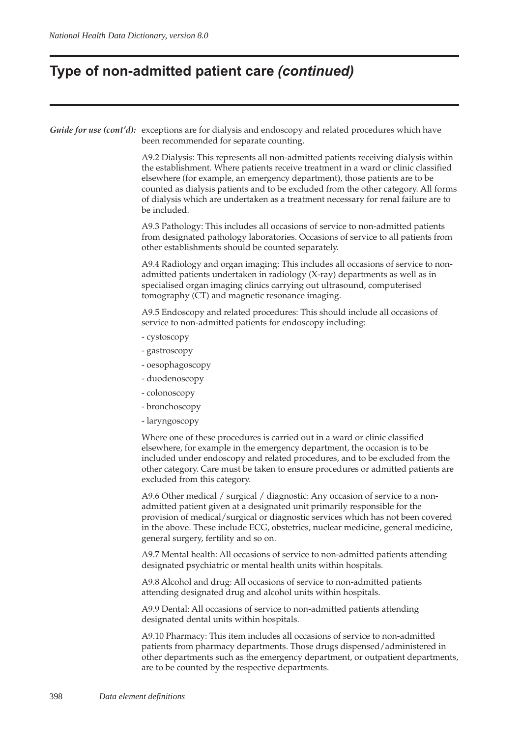### **Type of non-admitted patient care** *(continued)*

*Guide for use (cont'd):* exceptions are for dialysis and endoscopy and related procedures which have been recommended for separate counting.

> A9.2 Dialysis: This represents all non-admitted patients receiving dialysis within the establishment. Where patients receive treatment in a ward or clinic classified elsewhere (for example, an emergency department), those patients are to be counted as dialysis patients and to be excluded from the other category. All forms of dialysis which are undertaken as a treatment necessary for renal failure are to be included.

A9.3 Pathology: This includes all occasions of service to non-admitted patients from designated pathology laboratories. Occasions of service to all patients from other establishments should be counted separately.

A9.4 Radiology and organ imaging: This includes all occasions of service to nonadmitted patients undertaken in radiology (X-ray) departments as well as in specialised organ imaging clinics carrying out ultrasound, computerised tomography (CT) and magnetic resonance imaging.

A9.5 Endoscopy and related procedures: This should include all occasions of service to non-admitted patients for endoscopy including:

- cystoscopy
- gastroscopy
- oesophagoscopy
- duodenoscopy
- colonoscopy
- bronchoscopy
- laryngoscopy

Where one of these procedures is carried out in a ward or clinic classified elsewhere, for example in the emergency department, the occasion is to be included under endoscopy and related procedures, and to be excluded from the other category. Care must be taken to ensure procedures or admitted patients are excluded from this category.

A9.6 Other medical / surgical / diagnostic: Any occasion of service to a nonadmitted patient given at a designated unit primarily responsible for the provision of medical/surgical or diagnostic services which has not been covered in the above. These include ECG, obstetrics, nuclear medicine, general medicine, general surgery, fertility and so on.

A9.7 Mental health: All occasions of service to non-admitted patients attending designated psychiatric or mental health units within hospitals.

A9.8 Alcohol and drug: All occasions of service to non-admitted patients attending designated drug and alcohol units within hospitals.

A9.9 Dental: All occasions of service to non-admitted patients attending designated dental units within hospitals.

A9.10 Pharmacy: This item includes all occasions of service to non-admitted patients from pharmacy departments. Those drugs dispensed/administered in other departments such as the emergency department, or outpatient departments, are to be counted by the respective departments.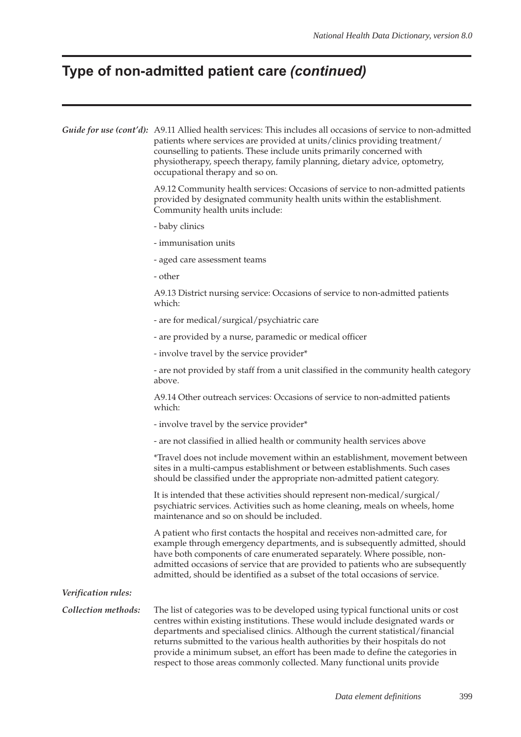# **Type of non-admitted patient care** *(continued)*

|                     | Guide for use (cont'd): A9.11 Allied health services: This includes all occasions of service to non-admitted<br>patients where services are provided at units/clinics providing treatment/<br>counselling to patients. These include units primarily concerned with<br>physiotherapy, speech therapy, family planning, dietary advice, optometry,<br>occupational therapy and so on.                                    |  |  |  |  |  |
|---------------------|-------------------------------------------------------------------------------------------------------------------------------------------------------------------------------------------------------------------------------------------------------------------------------------------------------------------------------------------------------------------------------------------------------------------------|--|--|--|--|--|
|                     | A9.12 Community health services: Occasions of service to non-admitted patients<br>provided by designated community health units within the establishment.<br>Community health units include:                                                                                                                                                                                                                            |  |  |  |  |  |
|                     | - baby clinics                                                                                                                                                                                                                                                                                                                                                                                                          |  |  |  |  |  |
|                     | - immunisation units                                                                                                                                                                                                                                                                                                                                                                                                    |  |  |  |  |  |
|                     | - aged care assessment teams                                                                                                                                                                                                                                                                                                                                                                                            |  |  |  |  |  |
|                     | - other                                                                                                                                                                                                                                                                                                                                                                                                                 |  |  |  |  |  |
|                     | A9.13 District nursing service: Occasions of service to non-admitted patients<br>which:                                                                                                                                                                                                                                                                                                                                 |  |  |  |  |  |
|                     | - are for medical/surgical/psychiatric care                                                                                                                                                                                                                                                                                                                                                                             |  |  |  |  |  |
|                     | - are provided by a nurse, paramedic or medical officer                                                                                                                                                                                                                                                                                                                                                                 |  |  |  |  |  |
|                     | - involve travel by the service provider*                                                                                                                                                                                                                                                                                                                                                                               |  |  |  |  |  |
|                     | - are not provided by staff from a unit classified in the community health category<br>above.                                                                                                                                                                                                                                                                                                                           |  |  |  |  |  |
|                     | A9.14 Other outreach services: Occasions of service to non-admitted patients<br>which:                                                                                                                                                                                                                                                                                                                                  |  |  |  |  |  |
|                     | - involve travel by the service provider*                                                                                                                                                                                                                                                                                                                                                                               |  |  |  |  |  |
|                     | - are not classified in allied health or community health services above                                                                                                                                                                                                                                                                                                                                                |  |  |  |  |  |
|                     | *Travel does not include movement within an establishment, movement between<br>sites in a multi-campus establishment or between establishments. Such cases<br>should be classified under the appropriate non-admitted patient category.                                                                                                                                                                                 |  |  |  |  |  |
|                     | It is intended that these activities should represent non-medical/surgical/<br>psychiatric services. Activities such as home cleaning, meals on wheels, home<br>maintenance and so on should be included.                                                                                                                                                                                                               |  |  |  |  |  |
|                     | A patient who first contacts the hospital and receives non-admitted care, for<br>example through emergency departments, and is subsequently admitted, should<br>have both components of care enumerated separately. Where possible, non-<br>admitted occasions of service that are provided to patients who are subsequently<br>admitted, should be identified as a subset of the total occasions of service.           |  |  |  |  |  |
| Verification rules: |                                                                                                                                                                                                                                                                                                                                                                                                                         |  |  |  |  |  |
| Collection methods: | The list of categories was to be developed using typical functional units or cost<br>centres within existing institutions. These would include designated wards or<br>departments and specialised clinics. Although the current statistical/financial<br>returns submitted to the various health authorities by their hospitals do not<br>provide a minimum subset, an effort has been made to define the categories in |  |  |  |  |  |

respect to those areas commonly collected. Many functional units provide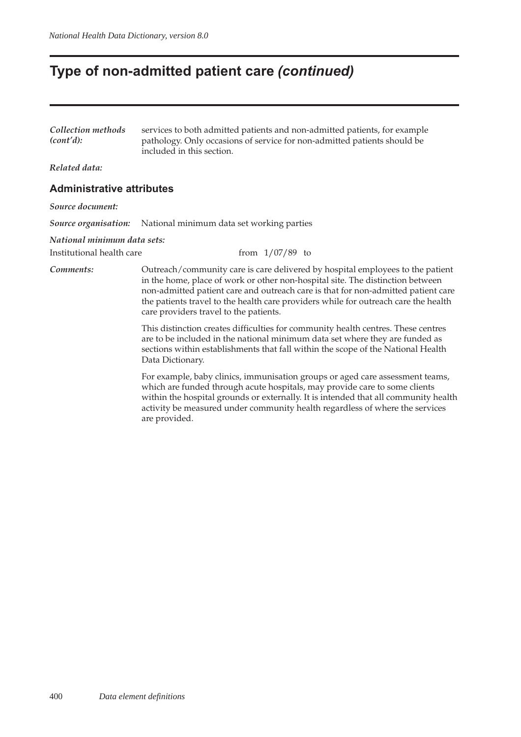### **Type of non-admitted patient care** *(continued)*

| Collection methods                              | services to both admitted patients and non-admitted patients, for example                             |
|-------------------------------------------------|-------------------------------------------------------------------------------------------------------|
| (cont'd):                                       | pathology. Only occasions of service for non-admitted patients should be<br>included in this section. |
| $T_{1}$ , $T_{2}$ , $T_{3}$ , $T_{4}$ , $T_{5}$ |                                                                                                       |

*Related data:*

#### **Administrative attributes**

*Source document:*

*Source organisation:* National minimum data set working parties

care providers travel to the patients.

#### *National minimum data sets:*

Institutional health care from 1/07/89 to

*Comments:* Outreach/community care is care delivered by hospital employees to the patient in the home, place of work or other non-hospital site. The distinction between non-admitted patient care and outreach care is that for non-admitted patient care the patients travel to the health care providers while for outreach care the health

> This distinction creates difficulties for community health centres. These centres are to be included in the national minimum data set where they are funded as sections within establishments that fall within the scope of the National Health Data Dictionary.

For example, baby clinics, immunisation groups or aged care assessment teams, which are funded through acute hospitals, may provide care to some clients within the hospital grounds or externally. It is intended that all community health activity be measured under community health regardless of where the services are provided.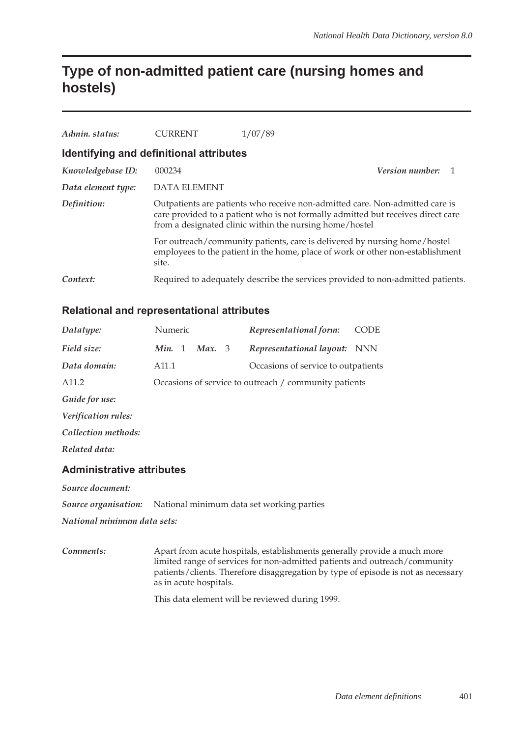### **Type of non-admitted patient care (nursing homes and hostels)**

| Admin, status:                          | <b>CURRENT</b>                                                                                                                                                                                                              | 1/07/89                                                                                                                                                     |  |  |
|-----------------------------------------|-----------------------------------------------------------------------------------------------------------------------------------------------------------------------------------------------------------------------------|-------------------------------------------------------------------------------------------------------------------------------------------------------------|--|--|
| Identifying and definitional attributes |                                                                                                                                                                                                                             |                                                                                                                                                             |  |  |
| Knowledgebase ID:                       | 000234                                                                                                                                                                                                                      | Version number: 1                                                                                                                                           |  |  |
| Data element type:                      | DATA ELEMENT                                                                                                                                                                                                                |                                                                                                                                                             |  |  |
| Definition:                             | Outpatients are patients who receive non-admitted care. Non-admitted care is<br>care provided to a patient who is not formally admitted but receives direct care<br>from a designated clinic within the nursing home/hostel |                                                                                                                                                             |  |  |
|                                         | site.                                                                                                                                                                                                                       | For outreach/community patients, care is delivered by nursing home/hostel<br>employees to the patient in the home, place of work or other non-establishment |  |  |
| Context:                                |                                                                                                                                                                                                                             | Required to adequately describe the services provided to non-admitted patients.                                                                             |  |  |

#### **Relational and representational attributes**

| Datatype:                        | Numeric           |  |        |  | Representational form:                                | <b>CODE</b> |
|----------------------------------|-------------------|--|--------|--|-------------------------------------------------------|-------------|
| Field size:                      | Min. 1            |  | Max. 3 |  | Representational layout: NNN                          |             |
| Data domain:                     | A <sub>11.1</sub> |  |        |  | Occasions of service to outpatients                   |             |
| A <sub>11.2</sub>                |                   |  |        |  | Occasions of service to outreach / community patients |             |
| Guide for use:                   |                   |  |        |  |                                                       |             |
| Verification rules:              |                   |  |        |  |                                                       |             |
| Collection methods:              |                   |  |        |  |                                                       |             |
| Related data:                    |                   |  |        |  |                                                       |             |
| <b>Administrative attributes</b> |                   |  |        |  |                                                       |             |

*Source document:*

*Source organisation:* National minimum data set working parties

*National minimum data sets:*

*Comments:* Apart from acute hospitals, establishments generally provide a much more limited range of services for non-admitted patients and outreach/community patients/clients. Therefore disaggregation by type of episode is not as necessary as in acute hospitals.

This data element will be reviewed during 1999.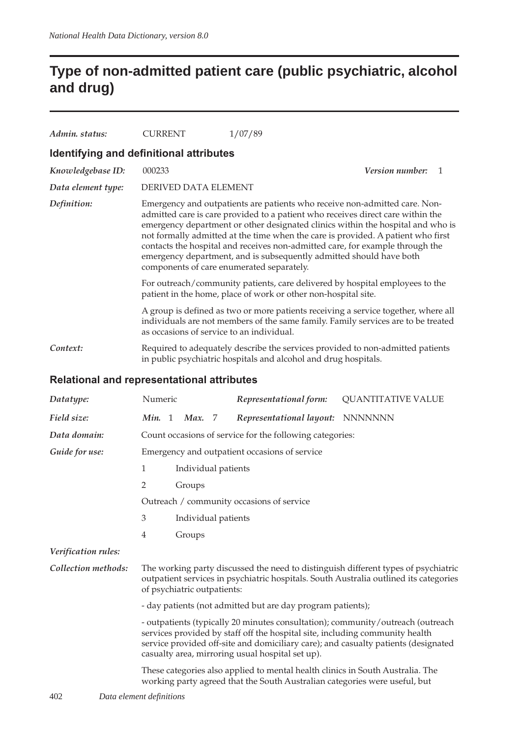## **Type of non-admitted patient care (public psychiatric, alcohol and drug)**

| Admin. status:                                    | <b>CURRENT</b>                                                                                                                                                                                                                                                                                                                                                                                                                                                                                                                                                                                                                                                                              | 1/07/89                                                                                                                                                                 |  |  |  |
|---------------------------------------------------|---------------------------------------------------------------------------------------------------------------------------------------------------------------------------------------------------------------------------------------------------------------------------------------------------------------------------------------------------------------------------------------------------------------------------------------------------------------------------------------------------------------------------------------------------------------------------------------------------------------------------------------------------------------------------------------------|-------------------------------------------------------------------------------------------------------------------------------------------------------------------------|--|--|--|
| Identifying and definitional attributes           |                                                                                                                                                                                                                                                                                                                                                                                                                                                                                                                                                                                                                                                                                             |                                                                                                                                                                         |  |  |  |
| Knowledgebase ID:                                 | 000233                                                                                                                                                                                                                                                                                                                                                                                                                                                                                                                                                                                                                                                                                      | <i>Version number:</i><br>$\mathbf{1}$                                                                                                                                  |  |  |  |
| Data element type:                                | DERIVED DATA ELEMENT                                                                                                                                                                                                                                                                                                                                                                                                                                                                                                                                                                                                                                                                        |                                                                                                                                                                         |  |  |  |
| Definition:                                       | Emergency and outpatients are patients who receive non-admitted care. Non-<br>admitted care is care provided to a patient who receives direct care within the<br>emergency department or other designated clinics within the hospital and who is<br>not formally admitted at the time when the care is provided. A patient who first<br>contacts the hospital and receives non-admitted care, for example through the<br>emergency department, and is subsequently admitted should have both<br>components of care enumerated separately.<br>For outreach/community patients, care delivered by hospital employees to the<br>patient in the home, place of work or other non-hospital site. |                                                                                                                                                                         |  |  |  |
|                                                   |                                                                                                                                                                                                                                                                                                                                                                                                                                                                                                                                                                                                                                                                                             |                                                                                                                                                                         |  |  |  |
|                                                   | as occasions of service to an individual.                                                                                                                                                                                                                                                                                                                                                                                                                                                                                                                                                                                                                                                   | A group is defined as two or more patients receiving a service together, where all<br>individuals are not members of the same family. Family services are to be treated |  |  |  |
| Context:                                          |                                                                                                                                                                                                                                                                                                                                                                                                                                                                                                                                                                                                                                                                                             | Required to adequately describe the services provided to non-admitted patients<br>in public psychiatric hospitals and alcohol and drug hospitals.                       |  |  |  |
| <b>Delational and representational attributes</b> |                                                                                                                                                                                                                                                                                                                                                                                                                                                                                                                                                                                                                                                                                             |                                                                                                                                                                         |  |  |  |

#### **Relational and representational attributes**

| Datatype:                                                                                                                                                    | Numeric                                                                                                                                                                                                                                                                                                   |                                               |                     | Representational form: | <b>QUANTITATIVE VALUE</b>                                   |  |  |  |
|--------------------------------------------------------------------------------------------------------------------------------------------------------------|-----------------------------------------------------------------------------------------------------------------------------------------------------------------------------------------------------------------------------------------------------------------------------------------------------------|-----------------------------------------------|---------------------|------------------------|-------------------------------------------------------------|--|--|--|
| Field size:                                                                                                                                                  | Min. 1                                                                                                                                                                                                                                                                                                    |                                               | Max. 7              |                        | Representational layout: NNNNNNN                            |  |  |  |
| Data domain:                                                                                                                                                 |                                                                                                                                                                                                                                                                                                           |                                               |                     |                        | Count occasions of service for the following categories:    |  |  |  |
| Guide for use:                                                                                                                                               |                                                                                                                                                                                                                                                                                                           | Emergency and outpatient occasions of service |                     |                        |                                                             |  |  |  |
|                                                                                                                                                              | 1                                                                                                                                                                                                                                                                                                         |                                               | Individual patients |                        |                                                             |  |  |  |
|                                                                                                                                                              | 2                                                                                                                                                                                                                                                                                                         |                                               | Groups              |                        |                                                             |  |  |  |
|                                                                                                                                                              |                                                                                                                                                                                                                                                                                                           |                                               |                     |                        | Outreach / community occasions of service                   |  |  |  |
|                                                                                                                                                              | 3                                                                                                                                                                                                                                                                                                         |                                               | Individual patients |                        |                                                             |  |  |  |
|                                                                                                                                                              | 4                                                                                                                                                                                                                                                                                                         |                                               | Groups              |                        |                                                             |  |  |  |
| Verification rules:                                                                                                                                          |                                                                                                                                                                                                                                                                                                           |                                               |                     |                        |                                                             |  |  |  |
| Collection methods:                                                                                                                                          | The working party discussed the need to distinguish different types of psychiatric<br>outpatient services in psychiatric hospitals. South Australia outlined its categories<br>of psychiatric outpatients:                                                                                                |                                               |                     |                        |                                                             |  |  |  |
|                                                                                                                                                              |                                                                                                                                                                                                                                                                                                           |                                               |                     |                        | - day patients (not admitted but are day program patients); |  |  |  |
|                                                                                                                                                              | - outpatients (typically 20 minutes consultation); community/outreach (outreach<br>services provided by staff off the hospital site, including community health<br>service provided off-site and domiciliary care); and casualty patients (designated<br>casualty area, mirroring usual hospital set up). |                                               |                     |                        |                                                             |  |  |  |
| These categories also applied to mental health clinics in South Australia. The<br>working party agreed that the South Australian categories were useful, but |                                                                                                                                                                                                                                                                                                           |                                               |                     |                        |                                                             |  |  |  |
| $\Delta$<br>$D_{\text{max}}$ of $\ldots$ and $J_{\text{max}}$                                                                                                |                                                                                                                                                                                                                                                                                                           |                                               |                     |                        |                                                             |  |  |  |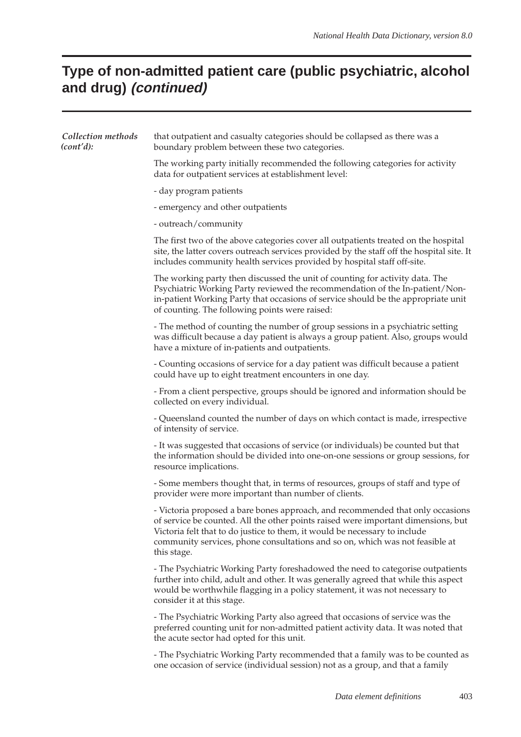# **Type of non-admitted patient care (public psychiatric, alcohol and drug) (continued)**

| Collection methods<br>(cont'd): | that outpatient and casualty categories should be collapsed as there was a<br>boundary problem between these two categories.                                                                                                                                                                                                                     |
|---------------------------------|--------------------------------------------------------------------------------------------------------------------------------------------------------------------------------------------------------------------------------------------------------------------------------------------------------------------------------------------------|
|                                 | The working party initially recommended the following categories for activity<br>data for outpatient services at establishment level:                                                                                                                                                                                                            |
|                                 | - day program patients                                                                                                                                                                                                                                                                                                                           |
|                                 | - emergency and other outpatients                                                                                                                                                                                                                                                                                                                |
|                                 | - outreach/community                                                                                                                                                                                                                                                                                                                             |
|                                 | The first two of the above categories cover all outpatients treated on the hospital<br>site, the latter covers outreach services provided by the staff off the hospital site. It<br>includes community health services provided by hospital staff off-site.                                                                                      |
|                                 | The working party then discussed the unit of counting for activity data. The<br>Psychiatric Working Party reviewed the recommendation of the In-patient/Non-<br>in-patient Working Party that occasions of service should be the appropriate unit<br>of counting. The following points were raised:                                              |
|                                 | - The method of counting the number of group sessions in a psychiatric setting<br>was difficult because a day patient is always a group patient. Also, groups would<br>have a mixture of in-patients and outpatients.                                                                                                                            |
|                                 | - Counting occasions of service for a day patient was difficult because a patient<br>could have up to eight treatment encounters in one day.                                                                                                                                                                                                     |
|                                 | - From a client perspective, groups should be ignored and information should be<br>collected on every individual.                                                                                                                                                                                                                                |
|                                 | - Queensland counted the number of days on which contact is made, irrespective<br>of intensity of service.                                                                                                                                                                                                                                       |
|                                 | - It was suggested that occasions of service (or individuals) be counted but that<br>the information should be divided into one-on-one sessions or group sessions, for<br>resource implications.                                                                                                                                                 |
|                                 | - Some members thought that, in terms of resources, groups of staff and type of<br>provider were more important than number of clients.                                                                                                                                                                                                          |
|                                 | - Victoria proposed a bare bones approach, and recommended that only occasions<br>of service be counted. All the other points raised were important dimensions, but<br>Victoria felt that to do justice to them, it would be necessary to include<br>community services, phone consultations and so on, which was not feasible at<br>this stage. |
|                                 | - The Psychiatric Working Party foreshadowed the need to categorise outpatients<br>further into child, adult and other. It was generally agreed that while this aspect<br>would be worthwhile flagging in a policy statement, it was not necessary to<br>consider it at this stage.                                                              |
|                                 | - The Psychiatric Working Party also agreed that occasions of service was the<br>preferred counting unit for non-admitted patient activity data. It was noted that<br>the acute sector had opted for this unit.                                                                                                                                  |
|                                 | - The Psychiatric Working Party recommended that a family was to be counted as<br>one occasion of service (individual session) not as a group, and that a family                                                                                                                                                                                 |
|                                 |                                                                                                                                                                                                                                                                                                                                                  |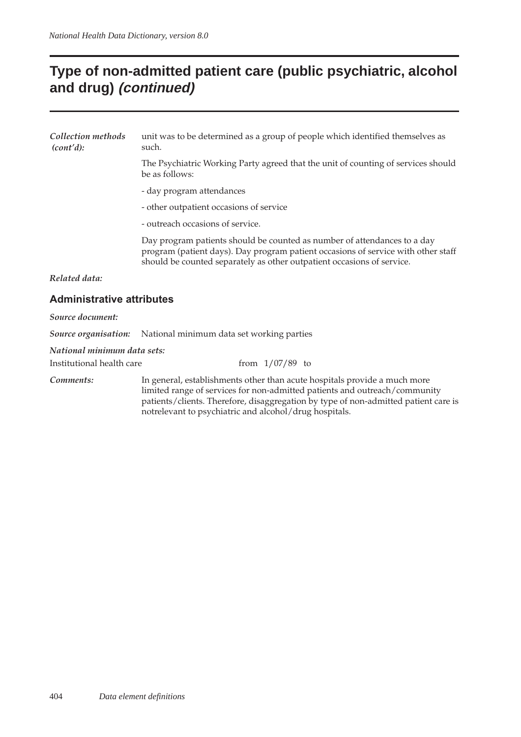### **Type of non-admitted patient care (public psychiatric, alcohol and drug) (continued)**

| Collection methods<br>(cont'd):  | unit was to be determined as a group of people which identified themselves as<br>such.                                                                                                                                                                                                                   |  |  |  |  |  |
|----------------------------------|----------------------------------------------------------------------------------------------------------------------------------------------------------------------------------------------------------------------------------------------------------------------------------------------------------|--|--|--|--|--|
|                                  | The Psychiatric Working Party agreed that the unit of counting of services should<br>be as follows:                                                                                                                                                                                                      |  |  |  |  |  |
|                                  | - day program attendances                                                                                                                                                                                                                                                                                |  |  |  |  |  |
|                                  | - other outpatient occasions of service                                                                                                                                                                                                                                                                  |  |  |  |  |  |
|                                  | - outreach occasions of service.                                                                                                                                                                                                                                                                         |  |  |  |  |  |
|                                  | Day program patients should be counted as number of attendances to a day<br>program (patient days). Day program patient occasions of service with other staff<br>should be counted separately as other outpatient occasions of service.                                                                  |  |  |  |  |  |
| Related data:                    |                                                                                                                                                                                                                                                                                                          |  |  |  |  |  |
| <b>Administrative attributes</b> |                                                                                                                                                                                                                                                                                                          |  |  |  |  |  |
| Source document:                 |                                                                                                                                                                                                                                                                                                          |  |  |  |  |  |
| Source organisation:             | National minimum data set working parties                                                                                                                                                                                                                                                                |  |  |  |  |  |
| National minimum data sets:      |                                                                                                                                                                                                                                                                                                          |  |  |  |  |  |
| Institutional health care        | from $1/07/89$ to                                                                                                                                                                                                                                                                                        |  |  |  |  |  |
| Comments:                        | In general, establishments other than acute hospitals provide a much more<br>limited range of services for non-admitted patients and outreach/community<br>patients/clients. Therefore, disaggregation by type of non-admitted patient care is<br>notrelevant to psychiatric and alcohol/drug hospitals. |  |  |  |  |  |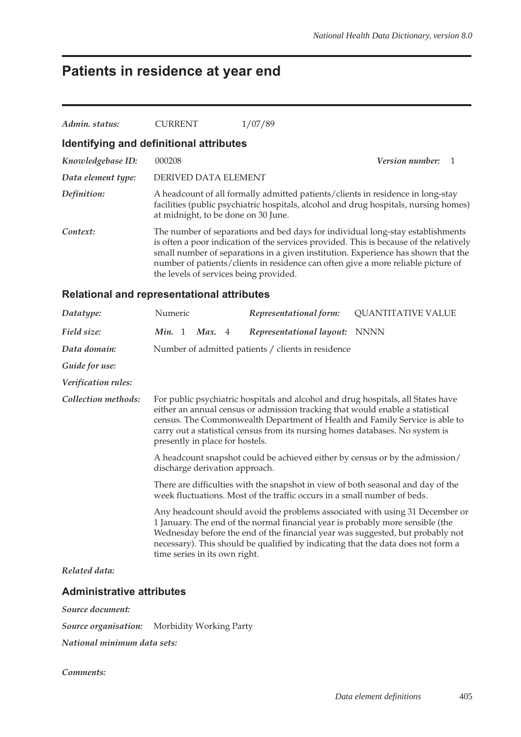# **Patients in residence at year end**

| Admin. status:                                    | <b>CURRENT</b>                         | 1/07/89                                                                                                                                                                                                                                                                                                                                            |  |  |  |
|---------------------------------------------------|----------------------------------------|----------------------------------------------------------------------------------------------------------------------------------------------------------------------------------------------------------------------------------------------------------------------------------------------------------------------------------------------------|--|--|--|
| Identifying and definitional attributes           |                                        |                                                                                                                                                                                                                                                                                                                                                    |  |  |  |
| Knowledgebase ID:                                 | 000208                                 | <b>Version number:</b>                                                                                                                                                                                                                                                                                                                             |  |  |  |
| Data element type:                                | DERIVED DATA ELEMENT                   |                                                                                                                                                                                                                                                                                                                                                    |  |  |  |
| Definition:                                       | at midnight, to be done on 30 June.    | A headcount of all formally admitted patients/clients in residence in long-stay<br>facilities (public psychiatric hospitals, alcohol and drug hospitals, nursing homes)                                                                                                                                                                            |  |  |  |
| Context:                                          | the levels of services being provided. | The number of separations and bed days for individual long-stay establishments<br>is often a poor indication of the services provided. This is because of the relatively<br>small number of separations in a given institution. Experience has shown that the<br>number of patients/clients in residence can often give a more reliable picture of |  |  |  |
| <b>Relational and representational attributes</b> |                                        |                                                                                                                                                                                                                                                                                                                                                    |  |  |  |

| Datatype:           | Numeric                                                                                                                                                                                                                                                                                                                                                              |  |                               |  | Representational form:                                                         | <b>QUANTITATIVE VALUE</b>                                                                                                                                                                                                                          |
|---------------------|----------------------------------------------------------------------------------------------------------------------------------------------------------------------------------------------------------------------------------------------------------------------------------------------------------------------------------------------------------------------|--|-------------------------------|--|--------------------------------------------------------------------------------|----------------------------------------------------------------------------------------------------------------------------------------------------------------------------------------------------------------------------------------------------|
| Field size:         | Min. 1                                                                                                                                                                                                                                                                                                                                                               |  | Max. 4                        |  | Representational layout:                                                       | <b>NNNN</b>                                                                                                                                                                                                                                        |
| Data domain:        |                                                                                                                                                                                                                                                                                                                                                                      |  |                               |  | Number of admitted patients / clients in residence                             |                                                                                                                                                                                                                                                    |
| Guide for use:      |                                                                                                                                                                                                                                                                                                                                                                      |  |                               |  |                                                                                |                                                                                                                                                                                                                                                    |
| Verification rules: |                                                                                                                                                                                                                                                                                                                                                                      |  |                               |  |                                                                                |                                                                                                                                                                                                                                                    |
| Collection methods: | For public psychiatric hospitals and alcohol and drug hospitals, all States have<br>either an annual census or admission tracking that would enable a statistical<br>census. The Commonwealth Department of Health and Family Service is able to<br>carry out a statistical census from its nursing homes databases. No system is<br>presently in place for hostels. |  |                               |  |                                                                                |                                                                                                                                                                                                                                                    |
|                     | A headcount snapshot could be achieved either by census or by the admission/<br>discharge derivation approach.                                                                                                                                                                                                                                                       |  |                               |  |                                                                                |                                                                                                                                                                                                                                                    |
|                     | There are difficulties with the snapshot in view of both seasonal and day of the<br>week fluctuations. Most of the traffic occurs in a small number of beds.                                                                                                                                                                                                         |  |                               |  |                                                                                |                                                                                                                                                                                                                                                    |
|                     |                                                                                                                                                                                                                                                                                                                                                                      |  | time series in its own right. |  | 1 January. The end of the normal financial year is probably more sensible (the | Any headcount should avoid the problems associated with using 31 December or<br>Wednesday before the end of the financial year was suggested, but probably not<br>necessary). This should be qualified by indicating that the data does not form a |
| Related data:       |                                                                                                                                                                                                                                                                                                                                                                      |  |                               |  |                                                                                |                                                                                                                                                                                                                                                    |
|                     |                                                                                                                                                                                                                                                                                                                                                                      |  |                               |  |                                                                                |                                                                                                                                                                                                                                                    |

#### **Administrative attributes**

*Source document:*

*Source organisation:* Morbidity Working Party

*National minimum data sets:*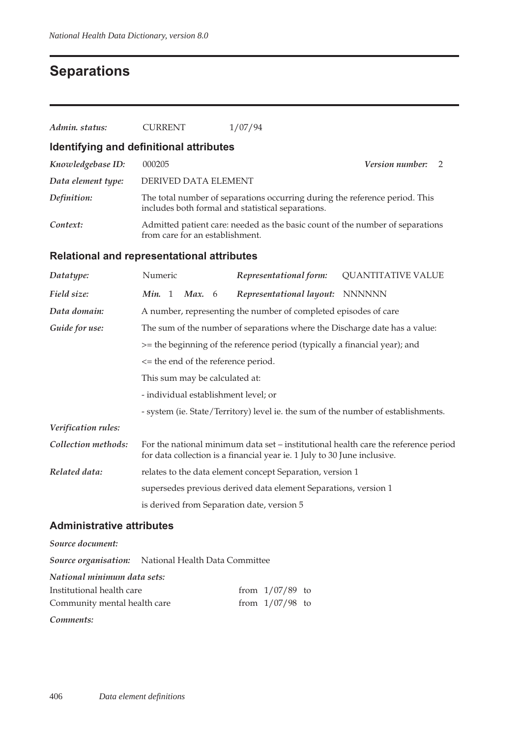### **Separations**

| Admin. status:                                    | <b>CURRENT</b>                                                             | 1/07/94                                                                                                                                                        |                           |  |  |  |  |  |
|---------------------------------------------------|----------------------------------------------------------------------------|----------------------------------------------------------------------------------------------------------------------------------------------------------------|---------------------------|--|--|--|--|--|
| Identifying and definitional attributes           |                                                                            |                                                                                                                                                                |                           |  |  |  |  |  |
| Knowledgebase ID:                                 | 000205<br>Version number:<br>2                                             |                                                                                                                                                                |                           |  |  |  |  |  |
| Data element type:                                |                                                                            | DERIVED DATA ELEMENT                                                                                                                                           |                           |  |  |  |  |  |
| Definition:                                       |                                                                            | The total number of separations occurring during the reference period. This<br>includes both formal and statistical separations.                               |                           |  |  |  |  |  |
| Context:                                          |                                                                            | Admitted patient care: needed as the basic count of the number of separations<br>from care for an establishment.                                               |                           |  |  |  |  |  |
| <b>Relational and representational attributes</b> |                                                                            |                                                                                                                                                                |                           |  |  |  |  |  |
| Datatype:                                         | Numeric                                                                    | Representational form:                                                                                                                                         | <b>QUANTITATIVE VALUE</b> |  |  |  |  |  |
| Field size:                                       | Min. 1<br>Max. $6$                                                         | Representational layout:                                                                                                                                       | <b>NNNNNN</b>             |  |  |  |  |  |
| Data domain:                                      |                                                                            | A number, representing the number of completed episodes of care                                                                                                |                           |  |  |  |  |  |
| Guide for use:                                    | The sum of the number of separations where the Discharge date has a value: |                                                                                                                                                                |                           |  |  |  |  |  |
|                                                   | >= the beginning of the reference period (typically a financial year); and |                                                                                                                                                                |                           |  |  |  |  |  |
|                                                   |                                                                            | <= the end of the reference period.                                                                                                                            |                           |  |  |  |  |  |
|                                                   | This sum may be calculated at:                                             |                                                                                                                                                                |                           |  |  |  |  |  |
|                                                   | - individual establishment level; or                                       |                                                                                                                                                                |                           |  |  |  |  |  |
|                                                   |                                                                            | - system (ie. State/Territory) level ie. the sum of the number of establishments.                                                                              |                           |  |  |  |  |  |
| Verification rules:                               |                                                                            |                                                                                                                                                                |                           |  |  |  |  |  |
| Collection methods:                               |                                                                            | For the national minimum data set – institutional health care the reference period<br>for data collection is a financial year ie. 1 July to 30 June inclusive. |                           |  |  |  |  |  |
| Related data:                                     | relates to the data element concept Separation, version 1                  |                                                                                                                                                                |                           |  |  |  |  |  |

supersedes previous derived data element Separations, version 1

is derived from Separation date, version 5

#### **Administrative attributes**

*Source document:*

*Source organisation:* National Health Data Committee

*National minimum data sets:*

| Institutional health care    | from $1/07/89$ to |  |
|------------------------------|-------------------|--|
| Community mental health care | from $1/07/98$ to |  |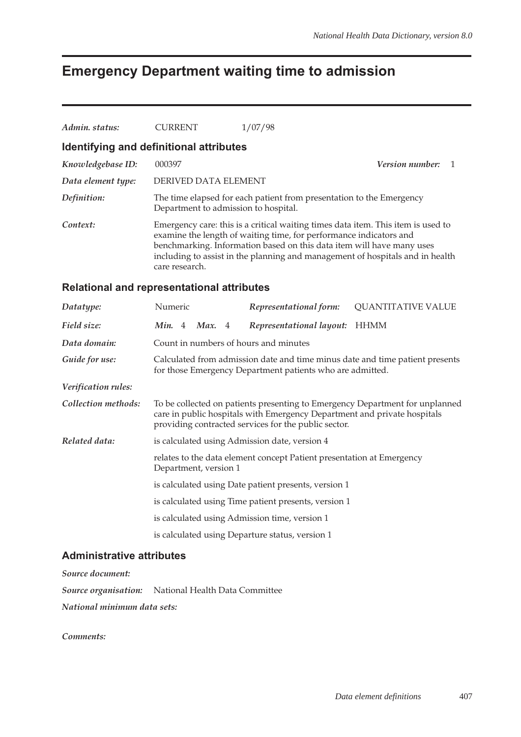### **Emergency Department waiting time to admission**

| Admin, status:                                    | <b>CURRENT</b>                                                                                                                                                                                                                                                                                                                     | 1/07/98                  |                             |  |  |  |  |
|---------------------------------------------------|------------------------------------------------------------------------------------------------------------------------------------------------------------------------------------------------------------------------------------------------------------------------------------------------------------------------------------|--------------------------|-----------------------------|--|--|--|--|
| Identifying and definitional attributes           |                                                                                                                                                                                                                                                                                                                                    |                          |                             |  |  |  |  |
| Knowledgebase ID:                                 | 000397                                                                                                                                                                                                                                                                                                                             |                          | <i>Version number:</i><br>1 |  |  |  |  |
| Data element type:                                |                                                                                                                                                                                                                                                                                                                                    | DERIVED DATA ELEMENT     |                             |  |  |  |  |
| Definition:                                       | The time elapsed for each patient from presentation to the Emergency<br>Department to admission to hospital.                                                                                                                                                                                                                       |                          |                             |  |  |  |  |
| Context:                                          | Emergency care: this is a critical waiting times data item. This item is used to<br>examine the length of waiting time, for performance indicators and<br>benchmarking. Information based on this data item will have many uses<br>including to assist in the planning and management of hospitals and in health<br>care research. |                          |                             |  |  |  |  |
| <b>Relational and representational attributes</b> |                                                                                                                                                                                                                                                                                                                                    |                          |                             |  |  |  |  |
| Datatype:                                         | Numeric                                                                                                                                                                                                                                                                                                                            | Representational form:   | <b>QUANTITATIVE VALUE</b>   |  |  |  |  |
| Field size:                                       | <i>Min.</i> 4 <i>Max.</i> 4                                                                                                                                                                                                                                                                                                        | Representational layout: | <b>HHMM</b>                 |  |  |  |  |

| Data domain:   | Count in numbers of hours and minutes                       |
|----------------|-------------------------------------------------------------|
| Guide for use: | Calculated from admission date and time minus date and time |

patient presents for those Emergency Department patients who are admitted.

*Verification rules:*

| Collection methods: | To be collected on patients presenting to Emergency Department for unplanned |
|---------------------|------------------------------------------------------------------------------|
|                     | care in public hospitals with Emergency Department and private hospitals     |
|                     | providing contracted services for the public sector.                         |

- *Related data:* is calculated using Admission date, version 4
	- relates to the data element concept Patient presentation at Emergency Department, version 1
		- is calculated using Date patient presents, version 1
		- is calculated using Time patient presents, version 1
		- is calculated using Admission time, version 1
		- is calculated using Departure status, version 1

#### **Administrative attributes**

*Source document:*

*Source organisation:* National Health Data Committee

*National minimum data sets:*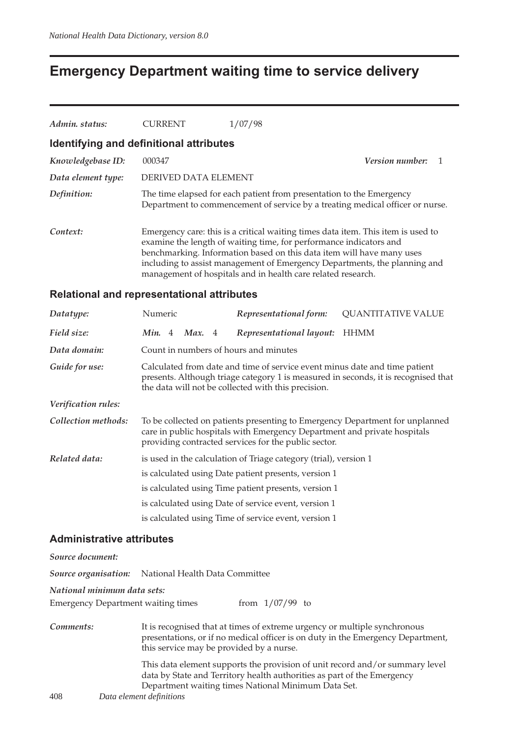### **Emergency Department waiting time to service delivery**

| Admin. status:     | <b>CURRENT</b>                          | 1/07/98                                                                                                                                                                                                                                                                                                                                                                      |  |
|--------------------|-----------------------------------------|------------------------------------------------------------------------------------------------------------------------------------------------------------------------------------------------------------------------------------------------------------------------------------------------------------------------------------------------------------------------------|--|
|                    | Identifying and definitional attributes |                                                                                                                                                                                                                                                                                                                                                                              |  |
| Knowledgebase ID:  | 000347                                  | <i>Version number:</i>                                                                                                                                                                                                                                                                                                                                                       |  |
| Data element type: | DERIVED DATA ELEMENT                    |                                                                                                                                                                                                                                                                                                                                                                              |  |
| Definition:        |                                         | The time elapsed for each patient from presentation to the Emergency<br>Department to commencement of service by a treating medical officer or nurse.                                                                                                                                                                                                                        |  |
| Context:           |                                         | Emergency care: this is a critical waiting times data item. This item is used to<br>examine the length of waiting time, for performance indicators and<br>benchmarking. Information based on this data item will have many uses<br>including to assist management of Emergency Departments, the planning and<br>management of hospitals and in health care related research. |  |

#### **Relational and representational attributes**

| Datatype:           | Numeric                                                                                                                                                                                                                 |  |          |  | Representational form:                                                                                                           | <b>QUANTITATIVE VALUE</b>                                                    |
|---------------------|-------------------------------------------------------------------------------------------------------------------------------------------------------------------------------------------------------------------------|--|----------|--|----------------------------------------------------------------------------------------------------------------------------------|------------------------------------------------------------------------------|
| Field size:         | Min. 4                                                                                                                                                                                                                  |  | Max. $4$ |  | Representational layout:                                                                                                         | <b>HHMM</b>                                                                  |
| Data domain:        |                                                                                                                                                                                                                         |  |          |  | Count in numbers of hours and minutes                                                                                            |                                                                              |
| Guide for use:      | Calculated from date and time of service event minus date and time patient<br>presents. Although triage category 1 is measured in seconds, it is recognised that<br>the data will not be collected with this precision. |  |          |  |                                                                                                                                  |                                                                              |
| Verification rules: |                                                                                                                                                                                                                         |  |          |  |                                                                                                                                  |                                                                              |
| Collection methods: |                                                                                                                                                                                                                         |  |          |  | care in public hospitals with Emergency Department and private hospitals<br>providing contracted services for the public sector. | To be collected on patients presenting to Emergency Department for unplanned |
| Related data:       |                                                                                                                                                                                                                         |  |          |  | is used in the calculation of Triage category (trial), version 1                                                                 |                                                                              |
|                     |                                                                                                                                                                                                                         |  |          |  | is calculated using Date patient presents, version 1                                                                             |                                                                              |
|                     |                                                                                                                                                                                                                         |  |          |  | is calculated using Time patient presents, version 1                                                                             |                                                                              |
|                     |                                                                                                                                                                                                                         |  |          |  | is calculated using Date of service event, version 1                                                                             |                                                                              |
|                     |                                                                                                                                                                                                                         |  |          |  | is calculated using Time of service event, version 1                                                                             |                                                                              |

#### **Administrative attributes**

408 *Data element definitions Source document: Source organisation:* National Health Data Committee *National minimum data sets:* Emergency Department waiting times from 1/07/99 to *Comments:* It is recognised that at times of extreme urgency or multiple synchronous presentations, or if no medical officer is on duty in the Emergency Department, this service may be provided by a nurse. This data element supports the provision of unit record and/or summary level data by State and Territory health authorities as part of the Emergency Department waiting times National Minimum Data Set.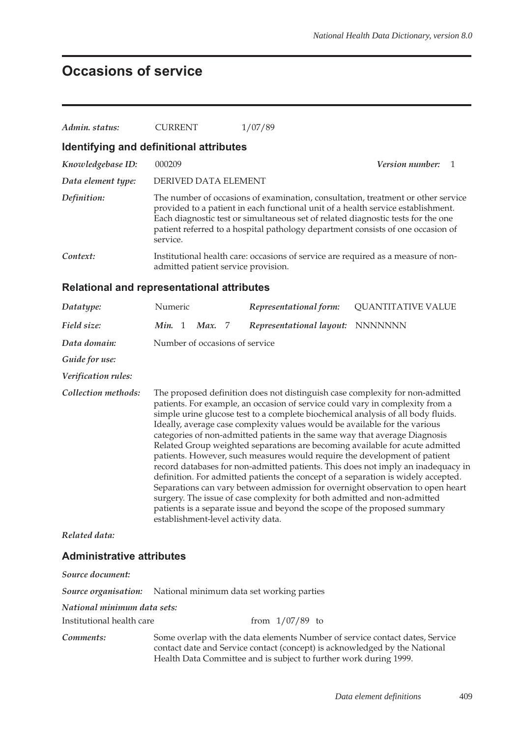## **Occasions of service**

| Admin. status:     | CURRENT                                                                                                                                                                                                                                                                                                                                                 | 1/07/89                |                           |  |  |
|--------------------|---------------------------------------------------------------------------------------------------------------------------------------------------------------------------------------------------------------------------------------------------------------------------------------------------------------------------------------------------------|------------------------|---------------------------|--|--|
|                    | Identifying and definitional attributes                                                                                                                                                                                                                                                                                                                 |                        |                           |  |  |
| Knowledgebase ID:  | 000209                                                                                                                                                                                                                                                                                                                                                  |                        | <b>Version number:</b> 1  |  |  |
| Data element type: | DERIVED DATA ELEMENT                                                                                                                                                                                                                                                                                                                                    |                        |                           |  |  |
| Definition:        | The number of occasions of examination, consultation, treatment or other service<br>provided to a patient in each functional unit of a health service establishment.<br>Each diagnostic test or simultaneous set of related diagnostic tests for the one<br>patient referred to a hospital pathology department consists of one occasion of<br>service. |                        |                           |  |  |
| Context:           | Institutional health care: occasions of service are required as a measure of non-<br>admitted patient service provision.                                                                                                                                                                                                                                |                        |                           |  |  |
|                    | <b>Relational and representational attributes</b>                                                                                                                                                                                                                                                                                                       |                        |                           |  |  |
| Datatype:          | Numeric                                                                                                                                                                                                                                                                                                                                                 | Representational form: | <b>QUANTITATIVE VALUE</b> |  |  |

| $D$ ululype.        | TVUIITELIU                                                                                                                                                                                                                                                                                                                                                                                                                                                                                                                                                                                                                                                                                                                                                                                                                                                                                                                                                                                                                            |  |               |  |                                  | $\mathcal{L}$ |
|---------------------|---------------------------------------------------------------------------------------------------------------------------------------------------------------------------------------------------------------------------------------------------------------------------------------------------------------------------------------------------------------------------------------------------------------------------------------------------------------------------------------------------------------------------------------------------------------------------------------------------------------------------------------------------------------------------------------------------------------------------------------------------------------------------------------------------------------------------------------------------------------------------------------------------------------------------------------------------------------------------------------------------------------------------------------|--|---------------|--|----------------------------------|---------------|
| Field size:         | Min. 1                                                                                                                                                                                                                                                                                                                                                                                                                                                                                                                                                                                                                                                                                                                                                                                                                                                                                                                                                                                                                                |  | <b>Max.</b> 7 |  | Representational layout: NNNNNNN |               |
| Data domain:        | Number of occasions of service                                                                                                                                                                                                                                                                                                                                                                                                                                                                                                                                                                                                                                                                                                                                                                                                                                                                                                                                                                                                        |  |               |  |                                  |               |
| Guide for use:      |                                                                                                                                                                                                                                                                                                                                                                                                                                                                                                                                                                                                                                                                                                                                                                                                                                                                                                                                                                                                                                       |  |               |  |                                  |               |
| Verification rules: |                                                                                                                                                                                                                                                                                                                                                                                                                                                                                                                                                                                                                                                                                                                                                                                                                                                                                                                                                                                                                                       |  |               |  |                                  |               |
| Collection methods: | The proposed definition does not distinguish case complexity for non-admitted<br>patients. For example, an occasion of service could vary in complexity from a<br>simple urine glucose test to a complete biochemical analysis of all body fluids.<br>Ideally, average case complexity values would be available for the various<br>categories of non-admitted patients in the same way that average Diagnosis<br>Related Group weighted separations are becoming available for acute admitted<br>patients. However, such measures would require the development of patient<br>record databases for non-admitted patients. This does not imply an inadequacy in<br>definition. For admitted patients the concept of a separation is widely accepted.<br>Separations can vary between admission for overnight observation to open heart<br>surgery. The issue of case complexity for both admitted and non-admitted<br>patients is a separate issue and beyond the scope of the proposed summary<br>establishment-level activity data. |  |               |  |                                  |               |
| Related data:       |                                                                                                                                                                                                                                                                                                                                                                                                                                                                                                                                                                                                                                                                                                                                                                                                                                                                                                                                                                                                                                       |  |               |  |                                  |               |
|                     |                                                                                                                                                                                                                                                                                                                                                                                                                                                                                                                                                                                                                                                                                                                                                                                                                                                                                                                                                                                                                                       |  |               |  |                                  |               |

#### **Administrative attributes**

| Source document:            |                                                                                                                                                                                                                                 |  |  |  |  |  |
|-----------------------------|---------------------------------------------------------------------------------------------------------------------------------------------------------------------------------------------------------------------------------|--|--|--|--|--|
|                             | <b>Source organisation:</b> National minimum data set working parties                                                                                                                                                           |  |  |  |  |  |
| National minimum data sets: |                                                                                                                                                                                                                                 |  |  |  |  |  |
| Institutional health care   | from $1/07/89$ to                                                                                                                                                                                                               |  |  |  |  |  |
| Comments:                   | Some overlap with the data elements Number of service contact dates, Service<br>contact date and Service contact (concept) is acknowledged by the National<br>Health Data Committee and is subject to further work during 1999. |  |  |  |  |  |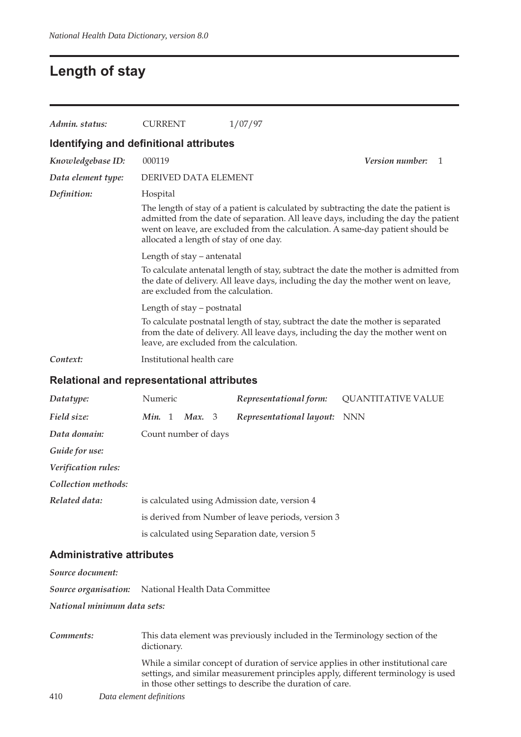### **Length of stay**

| Admin. status:                                                                                                                                                                                                   | <b>CURRENT</b>                                                                                                                                                                                                                                                                                          |        |  | 1/07/97                  |                              |  |
|------------------------------------------------------------------------------------------------------------------------------------------------------------------------------------------------------------------|---------------------------------------------------------------------------------------------------------------------------------------------------------------------------------------------------------------------------------------------------------------------------------------------------------|--------|--|--------------------------|------------------------------|--|
|                                                                                                                                                                                                                  | Identifying and definitional attributes                                                                                                                                                                                                                                                                 |        |  |                          |                              |  |
| Knowledgebase ID:                                                                                                                                                                                                | 000119                                                                                                                                                                                                                                                                                                  |        |  |                          | <i>Version number:</i><br>-1 |  |
| Data element type:                                                                                                                                                                                               | DERIVED DATA ELEMENT                                                                                                                                                                                                                                                                                    |        |  |                          |                              |  |
| Definition:                                                                                                                                                                                                      | Hospital                                                                                                                                                                                                                                                                                                |        |  |                          |                              |  |
|                                                                                                                                                                                                                  | The length of stay of a patient is calculated by subtracting the date the patient is<br>admitted from the date of separation. All leave days, including the day the patient<br>went on leave, are excluded from the calculation. A same-day patient should be<br>allocated a length of stay of one day. |        |  |                          |                              |  |
|                                                                                                                                                                                                                  | Length of stay – antenatal                                                                                                                                                                                                                                                                              |        |  |                          |                              |  |
|                                                                                                                                                                                                                  | To calculate antenatal length of stay, subtract the date the mother is admitted from<br>the date of delivery. All leave days, including the day the mother went on leave,<br>are excluded from the calculation.<br>Length of stay - postnatal                                                           |        |  |                          |                              |  |
|                                                                                                                                                                                                                  |                                                                                                                                                                                                                                                                                                         |        |  |                          |                              |  |
| To calculate postnatal length of stay, subtract the date the mother is separated<br>from the date of delivery. All leave days, including the day the mother went on<br>leave, are excluded from the calculation. |                                                                                                                                                                                                                                                                                                         |        |  |                          |                              |  |
| Context:                                                                                                                                                                                                         | Institutional health care                                                                                                                                                                                                                                                                               |        |  |                          |                              |  |
| <b>Relational and representational attributes</b>                                                                                                                                                                |                                                                                                                                                                                                                                                                                                         |        |  |                          |                              |  |
| Datatype:                                                                                                                                                                                                        | Numeric                                                                                                                                                                                                                                                                                                 |        |  | Representational form:   | <b>QUANTITATIVE VALUE</b>    |  |
| Field size:                                                                                                                                                                                                      | Min. 1                                                                                                                                                                                                                                                                                                  | Max. 3 |  | Representational layout: | <b>NNN</b>                   |  |

**Administrative attributes**

*Guide for use:*

*Verification rules: Collection methods:*

*Source document: Source organisation:* National Health Data Committee

*Related data:* is calculated using Admission date, version 4

*Data domain:* Count number of days

*National minimum data sets:*

410 *Data element definitions Comments:* This data element was previously included in the Terminology section of the dictionary. While a similar concept of duration of service applies in other institutional care settings, and similar measurement principles apply, different terminology is used in those other settings to describe the duration of care.

is derived from Number of leave periods, version 3

is calculated using Separation date, version 5